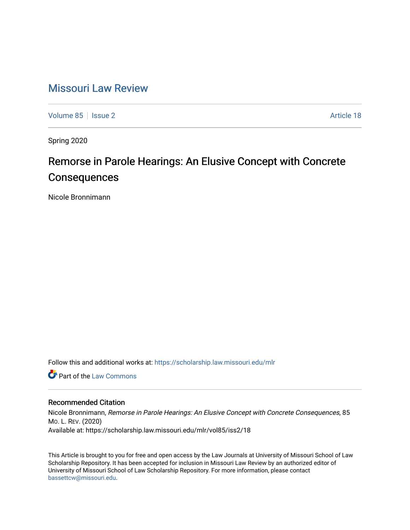# [Missouri Law Review](https://scholarship.law.missouri.edu/mlr)

[Volume 85](https://scholarship.law.missouri.edu/mlr/vol85) | [Issue 2](https://scholarship.law.missouri.edu/mlr/vol85/iss2) Article 18

Spring 2020

# Remorse in Parole Hearings: An Elusive Concept with Concrete **Consequences**

Nicole Bronnimann

Follow this and additional works at: [https://scholarship.law.missouri.edu/mlr](https://scholarship.law.missouri.edu/mlr?utm_source=scholarship.law.missouri.edu%2Fmlr%2Fvol85%2Fiss2%2F18&utm_medium=PDF&utm_campaign=PDFCoverPages)

**C** Part of the [Law Commons](http://network.bepress.com/hgg/discipline/578?utm_source=scholarship.law.missouri.edu%2Fmlr%2Fvol85%2Fiss2%2F18&utm_medium=PDF&utm_campaign=PDFCoverPages)

# Recommended Citation

Nicole Bronnimann, Remorse in Parole Hearings: An Elusive Concept with Concrete Consequences, 85 MO. L. REV. (2020) Available at: https://scholarship.law.missouri.edu/mlr/vol85/iss2/18

This Article is brought to you for free and open access by the Law Journals at University of Missouri School of Law Scholarship Repository. It has been accepted for inclusion in Missouri Law Review by an authorized editor of University of Missouri School of Law Scholarship Repository. For more information, please contact [bassettcw@missouri.edu](mailto:bassettcw@missouri.edu).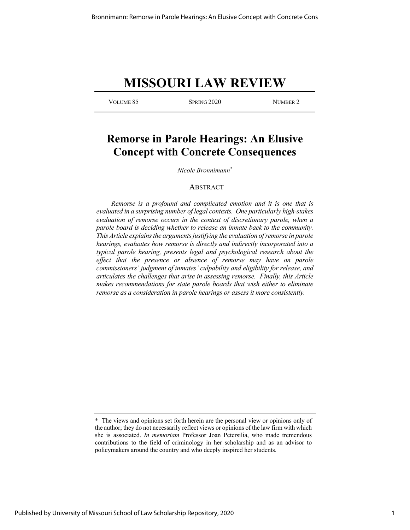# **MISSOURI LAW REVIEW**

VOLUME 85 SPRING 2020 NUMBER 2

# **Remorse in Parole Hearings: An Elusive Concept with Concrete Consequences**

*Nicole Bronnimann\**

# ABSTRACT

*Remorse is a profound and complicated emotion and it is one that is evaluated in a surprising number of legal contexts. One particularly high-stakes evaluation of remorse occurs in the context of discretionary parole, when a parole board is deciding whether to release an inmate back to the community. This Article explains the arguments justifying the evaluation of remorse in parole hearings, evaluates how remorse is directly and indirectly incorporated into a typical parole hearing, presents legal and psychological research about the*  effect that the presence or absence of remorse may have on parole *commissioners' judgment of inmates' culpability and eligibility for release, and articulates the challenges that arise in assessing remorse. Finally, this Article makes recommendations for state parole boards that wish either to eliminate remorse as a consideration in parole hearings or assess it more consistently.* 

<sup>\*</sup> The views and opinions set forth herein are the personal view or opinions only of the author; they do not necessarily reflect views or opinions of the law firm with which she is associated. *In memoriam* Professor Joan Petersilia, who made tremendous contributions to the field of criminology in her scholarship and as an advisor to policymakers around the country and who deeply inspired her students.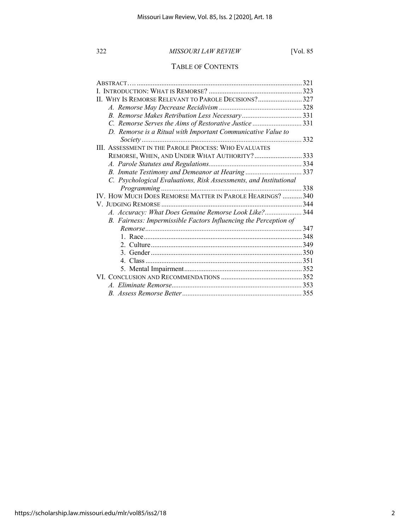# TABLE OF CONTENTS

| $ABSTRACT$                                                        | 321 |
|-------------------------------------------------------------------|-----|
|                                                                   |     |
| II. WHY IS REMORSE RELEVANT TO PAROLE DECISIONS?327               |     |
|                                                                   |     |
|                                                                   |     |
| C. Remorse Serves the Aims of Restorative Justice 331             |     |
| D. Remorse is a Ritual with Important Communicative Value to      |     |
|                                                                   |     |
| III. ASSESSMENT IN THE PAROLE PROCESS: WHO EVALUATES              |     |
| REMORSE, WHEN, AND UNDER WHAT AUTHORITY?333                       |     |
|                                                                   |     |
| B. Inmate Testimony and Demeanor at Hearing 337                   |     |
| C. Psychological Evaluations, Risk Assessments, and Institutional |     |
|                                                                   | 338 |
| IV. HOW MUCH DOES REMORSE MATTER IN PAROLE HEARINGS?  340         |     |
|                                                                   |     |
| A. Accuracy: What Does Genuine Remorse Look Like? 344             |     |
| B. Fairness: Impermissible Factors Influencing the Perception of  |     |
|                                                                   |     |
|                                                                   |     |
|                                                                   |     |
|                                                                   |     |
|                                                                   |     |
|                                                                   |     |
|                                                                   |     |
|                                                                   |     |
|                                                                   |     |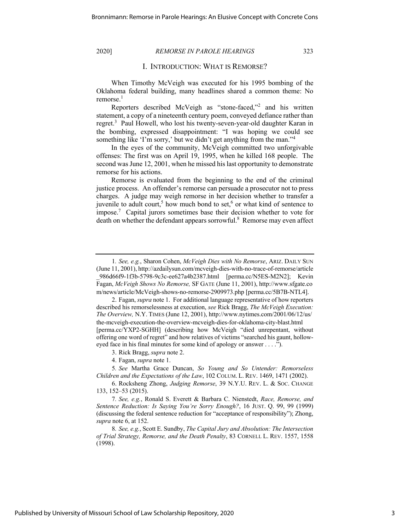### I. INTRODUCTION: WHAT IS REMORSE?

When Timothy McVeigh was executed for his 1995 bombing of the Oklahoma federal building, many headlines shared a common theme: No remorse. $<sup>1</sup>$ </sup>

Reporters described McVeigh as "stone-faced,"<sup>2</sup> and his written statement, a copy of a nineteenth century poem, conveyed defiance rather than regret.<sup>3</sup> Paul Howell, who lost his twenty-seven-year-old daughter Karan in the bombing, expressed disappointment: "I was hoping we could see something like 'I'm sorry,' but we didn't get anything from the man."<sup>4</sup>

In the eyes of the community, McVeigh committed two unforgivable offenses: The first was on April 19, 1995, when he killed 168 people. The second was June 12, 2001, when he missed his last opportunity to demonstrate remorse for his actions.

Remorse is evaluated from the beginning to the end of the criminal justice process. An offender's remorse can persuade a prosecutor not to press charges. A judge may weigh remorse in her decision whether to transfer a juvenile to adult court,<sup>5</sup> how much bond to set,<sup>6</sup> or what kind of sentence to impose.<sup>7</sup> Capital jurors sometimes base their decision whether to vote for death on whether the defendant appears sorrowful.<sup>8</sup> Remorse may even affect

3. Rick Bragg, *supra* note 2.

4. Fagan, *supra* note 1.

5*. See* Martha Grace Duncan, *So Young and So Untender: Remorseless Children and the Expectations of the Law*, 102 COLUM. L. REV. 1469, 1471 (2002).

<sup>1</sup>*. See, e.g.*, Sharon Cohen, *McVeigh Dies with No Remorse*, ARIZ. DAILY SUN (June 11, 2001), http://azdailysun.com/mcveigh-dies-with-no-trace-of-remorse/article \_986d66f9-1f3b-5798-9c3c-ee627a4b2387.html [perma.cc/N5ES-M2N2]; Kevin Fagan, *McVeigh Shows No Remorse,* SF GATE (June 11, 2001), http://www.sfgate.co m/news/article/McVeigh-shows-no-remorse-2909973.php [perma.cc/5B7B-NTL4].

<sup>2.</sup> Fagan, *supra* note 1. For additional language representative of how reporters described his remorselessness at execution, *see* Rick Bragg, *The McVeigh Execution: The Overview,* N.Y. TIMES (June 12, 2001), http://www.nytimes.com/2001/06/12/us/ the-mcveigh-execution-the-overview-mcveigh-dies-for-oklahoma-city-blast.html [perma.cc/YXP2-SGHH] (describing how McVeigh "died unrepentant, without offering one word of regret" and how relatives of victims "searched his gaunt, holloweyed face in his final minutes for some kind of apology or answer . . . .").

<sup>6.</sup> Rocksheng Zhong, *Judging Remorse*, 39 N.Y.U. REV. L. & SOC. CHANGE 133, 152–53 (2015).

<sup>7</sup>*. See, e.g.*, Ronald S. Everett & Barbara C. Nienstedt, *Race, Remorse, and Sentence Reduction: Is Saying You're Sorry Enough?*, 16 JUST. Q. 99, 99 (1999) (discussing the federal sentence reduction for "acceptance of responsibility"); Zhong, *supra* note 6, at 152.

<sup>8</sup>*. See, e.g.*, Scott E. Sundby, *The Capital Jury and Absolution: The Intersection of Trial Strategy, Remorse, and the Death Penalty*, 83 CORNELL L. REV. 1557, 1558 (1998).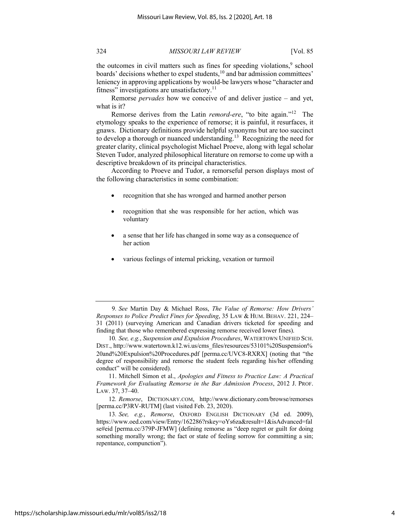the outcomes in civil matters such as fines for speeding violations, $9$  school boards' decisions whether to expel students,<sup>10</sup> and bar admission committees' leniency in approving applications by would-be lawyers whose "character and fitness" investigations are unsatisfactory. $\frac{11}{11}$ 

Remorse *pervades* how we conceive of and deliver justice – and yet, what is it?

Remorse derives from the Latin *remord-ere*, "to bite again."12 The etymology speaks to the experience of remorse; it is painful, it resurfaces, it gnaws. Dictionary definitions provide helpful synonyms but are too succinct to develop a thorough or nuanced understanding.<sup>13</sup> Recognizing the need for greater clarity, clinical psychologist Michael Proeve, along with legal scholar Steven Tudor, analyzed philosophical literature on remorse to come up with a descriptive breakdown of its principal characteristics.

According to Proeve and Tudor, a remorseful person displays most of the following characteristics in some combination:

- recognition that she has wronged and harmed another person
- recognition that she was responsible for her action, which was voluntary
- a sense that her life has changed in some way as a consequence of her action
- various feelings of internal pricking, vexation or turmoil

11. Mitchell Simon et al., *Apologies and Fitness to Practice Law: A Practical Framework for Evaluating Remorse in the Bar Admission Process*, 2012 J. PROF. LAW. 37, 37–40.

12*. Remorse*, DICTIONARY.COM, http://www.dictionary.com/browse/remorses [perma.cc/P3RV-RUTM] (last visited Feb. 23, 2020).

13*. See, e.g.*, *Remorse*, OXFORD ENGLISH DICTIONARY (3d ed. 2009), https://www.oed.com/view/Entry/162286?rskey=oYs6za&result=1&isAdvanced=fal se#eid [perma.cc/379P-JFMW] (defining remorse as "deep regret or guilt for doing something morally wrong; the fact or state of feeling sorrow for committing a sin; repentance, compunction").

<sup>9</sup>*. See* Martin Day & Michael Ross, *The Value of Remorse: How Drivers' Responses to Police Predict Fines for Speeding*, 35 LAW & HUM. BEHAV. 221, 224– 31 (2011) (surveying American and Canadian drivers ticketed for speeding and finding that those who remembered expressing remorse received lower fines).

<sup>10</sup>*. See, e.g.*, *Suspension and Expulsion Procedures*, WATERTOWN UNIFIED SCH. DIST., http://www.watertown.k12.wi.us/cms\_files/resources/53101%20Suspension% 20and%20Expulsion%20Procedures.pdf [perma.cc/UVC8-RXRX] (noting that "the degree of responsibility and remorse the student feels regarding his/her offending conduct" will be considered).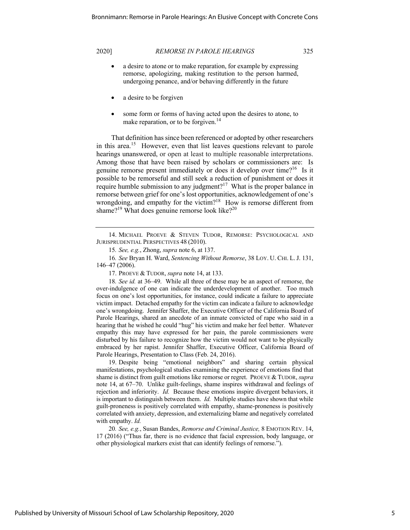- a desire to atone or to make reparation, for example by expressing remorse, apologizing, making restitution to the person harmed, undergoing penance, and/or behaving differently in the future
- a desire to be forgiven
- some form or forms of having acted upon the desires to atone, to make reparation, or to be forgiven.<sup>14</sup>

That definition has since been referenced or adopted by other researchers in this area.<sup>15</sup> However, even that list leaves questions relevant to parole hearings unanswered, or open at least to multiple reasonable interpretations. Among those that have been raised by scholars or commissioners are: Is genuine remorse present immediately or does it develop over time?<sup>16</sup> Is it possible to be remorseful and still seek a reduction of punishment or does it require humble submission to any judgment?<sup>17</sup> What is the proper balance in remorse between grief for one's lost opportunities, acknowledgement of one's wrongdoing, and empathy for the victim?<sup>18</sup> How is remorse different from shame?<sup>19</sup> What does genuine remorse look like?<sup>20</sup>

17. PROEVE & TUDOR, *supra* note 14, at 133.

18*. See id.* at 36–49. While all three of these may be an aspect of remorse, the over-indulgence of one can indicate the underdevelopment of another. Too much focus on one's lost opportunities, for instance, could indicate a failure to appreciate victim impact. Detached empathy for the victim can indicate a failure to acknowledge one's wrongdoing. Jennifer Shaffer, the Executive Officer of the California Board of Parole Hearings, shared an anecdote of an inmate convicted of rape who said in a hearing that he wished he could "hug" his victim and make her feel better. Whatever empathy this may have expressed for her pain, the parole commissioners were disturbed by his failure to recognize how the victim would not want to be physically embraced by her rapist. Jennifer Shaffer, Executive Officer, California Board of Parole Hearings, Presentation to Class (Feb. 24, 2016).

19. Despite being "emotional neighbors" and sharing certain physical manifestations, psychological studies examining the experience of emotions find that shame is distinct from guilt emotions like remorse or regret. PROEVE & TUDOR, *supra*  note 14, at 67–70. Unlike guilt-feelings, shame inspires withdrawal and feelings of rejection and inferiority. *Id.* Because these emotions inspire divergent behaviors, it is important to distinguish between them. *Id.* Multiple studies have shown that while guilt-proneness is positively correlated with empathy, shame-proneness is positively correlated with anxiety, depression, and externalizing blame and negatively correlated with empathy. *Id.*

20*. See, e.g.*, Susan Bandes, *Remorse and Criminal Justice,* 8 EMOTION REV. 14, 17 (2016) ("Thus far, there is no evidence that facial expression, body language, or other physiological markers exist that can identify feelings of remorse.").

<sup>14.</sup> MICHAEL PROEVE & STEVEN TUDOR, REMORSE: PSYCHOLOGICAL AND JURISPRUDENTIAL PERSPECTIVES 48 (2010).

<sup>15</sup>*. See, e.g.*, Zhong, *supra* note 6, at 137.

<sup>16</sup>*. See* Bryan H. Ward, *Sentencing Without Remorse*, 38 LOY. U. CHI. L.J. 131, 146–47 (2006).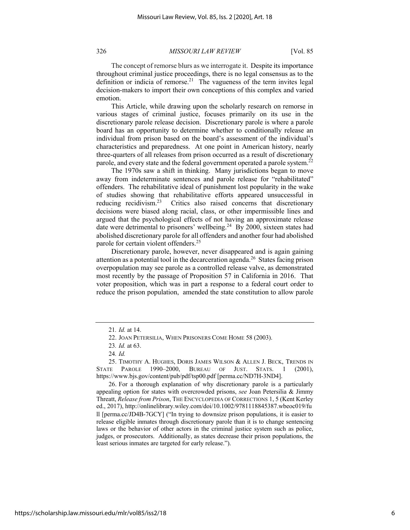The concept of remorse blurs as we interrogate it. Despite its importance throughout criminal justice proceedings, there is no legal consensus as to the definition or indicia of remorse.<sup>21</sup> The vagueness of the term invites legal decision-makers to import their own conceptions of this complex and varied emotion.

This Article, while drawing upon the scholarly research on remorse in various stages of criminal justice, focuses primarily on its use in the discretionary parole release decision. Discretionary parole is where a parole board has an opportunity to determine whether to conditionally release an individual from prison based on the board's assessment of the individual's characteristics and preparedness. At one point in American history, nearly three-quarters of all releases from prison occurred as a result of discretionary parole, and every state and the federal government operated a parole system.<sup>22</sup>

The 1970s saw a shift in thinking. Many jurisdictions began to move away from indeterminate sentences and parole release for "rehabilitated" offenders. The rehabilitative ideal of punishment lost popularity in the wake of studies showing that rehabilitative efforts appeared unsuccessful in reducing recidivism.<sup>23</sup> Critics also raised concerns that discretionary decisions were biased along racial, class, or other impermissible lines and argued that the psychological effects of not having an approximate release date were detrimental to prisoners' wellbeing.<sup>24</sup> By 2000, sixteen states had abolished discretionary parole for all offenders and another four had abolished parole for certain violent offenders.<sup>25</sup>

Discretionary parole, however, never disappeared and is again gaining attention as a potential tool in the decarceration agenda.<sup>26</sup> States facing prison overpopulation may see parole as a controlled release valve, as demonstrated most recently by the passage of Proposition 57 in California in 2016. That voter proposition, which was in part a response to a federal court order to reduce the prison population, amended the state constitution to allow parole

26. For a thorough explanation of why discretionary parole is a particularly appealing option for states with overcrowded prisons, *see* Joan Petersilia & Jimmy Threatt, *Release from Prison*, THE ENCYCLOPEDIA OF CORRECTIONS 1, 5 (Kent Kerley ed., 2017), http://onlinelibrary.wiley.com/doi/10.1002/9781118845387.wbeoc019/fu ll [perma.cc/JD4B-7GCY] ("In trying to downsize prison populations, it is easier to release eligible inmates through discretionary parole than it is to change sentencing laws or the behavior of other actors in the criminal justice system such as police, judges, or prosecutors. Additionally, as states decrease their prison populations, the least serious inmates are targeted for early release.").

<sup>21</sup>*. Id.* at 14.

<sup>22.</sup> JOAN PETERSILIA, WHEN PRISONERS COME HOME 58 (2003).

<sup>23</sup>*. Id.* at 63.

<sup>24</sup>*. Id.*

<sup>25.</sup> TIMOTHY A. HUGHES, DORIS JAMES WILSON & ALLEN J. BECK, TRENDS IN STATE PAROLE 1990–2000, BUREAU OF JUST. STATS. 1 (2001), https://www.bjs.gov/content/pub/pdf/tsp00.pdf [perma.cc/ND7H-3ND4].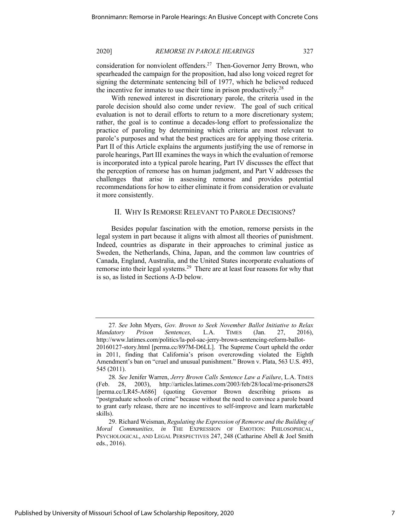consideration for nonviolent offenders.27 Then-Governor Jerry Brown, who spearheaded the campaign for the proposition, had also long voiced regret for signing the determinate sentencing bill of 1977, which he believed reduced the incentive for inmates to use their time in prison productively.<sup>28</sup>

With renewed interest in discretionary parole, the criteria used in the parole decision should also come under review. The goal of such critical evaluation is not to derail efforts to return to a more discretionary system; rather, the goal is to continue a decades-long effort to professionalize the practice of paroling by determining which criteria are most relevant to parole's purposes and what the best practices are for applying those criteria. Part II of this Article explains the arguments justifying the use of remorse in parole hearings, Part III examines the ways in which the evaluation of remorse is incorporated into a typical parole hearing, Part IV discusses the effect that the perception of remorse has on human judgment, and Part V addresses the challenges that arise in assessing remorse and provides potential recommendations for how to either eliminate it from consideration or evaluate it more consistently.

### II. WHY IS REMORSE RELEVANT TO PAROLE DECISIONS?

Besides popular fascination with the emotion, remorse persists in the legal system in part because it aligns with almost all theories of punishment. Indeed, countries as disparate in their approaches to criminal justice as Sweden, the Netherlands, China, Japan, and the common law countries of Canada, England, Australia, and the United States incorporate evaluations of remorse into their legal systems.<sup>29</sup> There are at least four reasons for why that is so, as listed in Sections A-D below.

<sup>27</sup>*. See* John Myers, *Gov. Brown to Seek November Ballot Initiative to Relax Mandatory Prison Sentences,* L.A. TIMES (Jan. 27, 2016), http://www.latimes.com/politics/la-pol-sac-jerry-brown-sentencing-reform-ballot-20160127-story.html [perma.cc/897M-D6LL]. The Supreme Court upheld the order in 2011, finding that California's prison overcrowding violated the Eighth Amendment's ban on "cruel and unusual punishment." Brown v. Plata, 563 U.S. 493, 545 (2011).

<sup>28</sup>*. See* Jenifer Warren, *Jerry Brown Calls Sentence Law a Failure*, L.A. TIMES (Feb. 28, 2003), http://articles.latimes.com/2003/feb/28/local/me-prisoners28 [perma.cc/LR45-A686] (quoting Governor Brown describing prisons as "postgraduate schools of crime" because without the need to convince a parole board to grant early release, there are no incentives to self-improve and learn marketable skills).

<sup>29.</sup> Richard Weisman, *Regulating the Expression of Remorse and the Building of Moral Communities, in* THE EXPRESSION OF EMOTION: PHILOSOPHICAL, PSYCHOLOGICAL, AND LEGAL PERSPECTIVES 247, 248 (Catharine Abell & Joel Smith eds., 2016).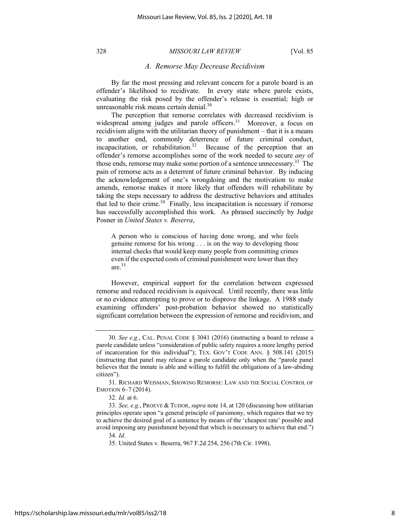## *A. Remorse May Decrease Recidivism*

By far the most pressing and relevant concern for a parole board is an offender's likelihood to recidivate. In every state where parole exists, evaluating the risk posed by the offender's release is essential; high or unreasonable risk means certain denial.<sup>30</sup>

The perception that remorse correlates with decreased recidivism is widespread among judges and parole officers.<sup>31</sup> Moreover, a focus on recidivism aligns with the utilitarian theory of punishment – that it is a means to another end, commonly deterrence of future criminal conduct, incapacitation, or rehabilitation.<sup>32</sup> Because of the perception that an offender's remorse accomplishes some of the work needed to secure *any* of those ends, remorse may make some portion of a sentence unnecessary.<sup>33</sup> The pain of remorse acts as a deterrent of future criminal behavior. By inducing the acknowledgement of one's wrongdoing and the motivation to make amends, remorse makes it more likely that offenders will rehabilitate by taking the steps necessary to address the destructive behaviors and attitudes that led to their crime. $34$  Finally, less incapacitation is necessary if remorse has successfully accomplished this work. As phrased succinctly by Judge Posner in *United States v. Beserra*,

A person who is conscious of having done wrong, and who feels genuine remorse for his wrong . . . is on the way to developing those internal checks that would keep many people from committing crimes even if the expected costs of criminal punishment were lower than they are. $35$ 

However, empirical support for the correlation between expressed remorse and reduced recidivism is equivocal. Until recently, there was little or no evidence attempting to prove or to disprove the linkage. A 1988 study examining offenders' post-probation behavior showed no statistically significant correlation between the expression of remorse and recidivism, and

<sup>30</sup>*. See e.g.*, CAL. PENAL CODE § 3041 (2016) (instructing a board to release a parole candidate unless "consideration of public safety requires a more lengthy period of incarceration for this individual"); TEX. GOV'T CODE ANN. § 508.141 (2015) (instructing that panel may release a parole candidate only when the "parole panel believes that the inmate is able and willing to fulfill the obligations of a law-abiding citizen").

<sup>31.</sup> RICHARD WEISMAN, SHOWING REMORSE: LAW AND THE SOCIAL CONTROL OF EMOTION 6–7 (2014).

<sup>32</sup>*. Id.* at 6.

<sup>33</sup>*. See, e.g.*, PROEVE & TUDOR, *supra* note 14, at 120 (discussing how utilitarian principles operate upon "a general principle of parsimony, which requires that we try to achieve the desired goal of a sentence by means of the 'cheapest rate' possible and avoid imposing any punishment beyond that which is necessary to achieve that end.")

<sup>34</sup>*. Id.* 

<sup>35.</sup> United States v. Beserra, 967 F.2d 254, 256 (7th Cir. 1998).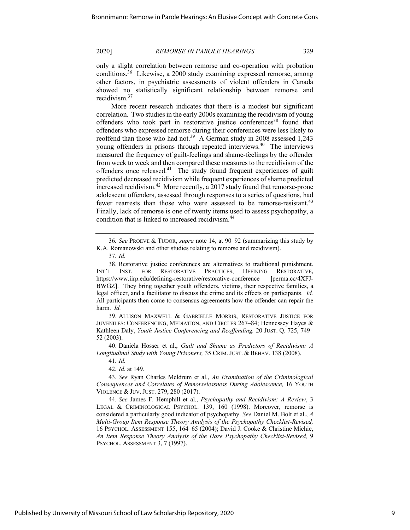only a slight correlation between remorse and co-operation with probation conditions.<sup>36</sup> Likewise, a 2000 study examining expressed remorse, among other factors, in psychiatric assessments of violent offenders in Canada showed no statistically significant relationship between remorse and recidivism.<sup>37</sup>

More recent research indicates that there is a modest but significant correlation. Two studies in the early 2000s examining the recidivism of young offenders who took part in restorative justice conferences<sup>38</sup> found that offenders who expressed remorse during their conferences were less likely to reoffend than those who had not.<sup>39</sup> A German study in 2008 assessed  $1,243$ young offenders in prisons through repeated interviews.<sup>40</sup> The interviews measured the frequency of guilt-feelings and shame-feelings by the offender from week to week and then compared these measures to the recidivism of the offenders once released. $41$  The study found frequent experiences of guilt predicted decreased recidivism while frequent experiences of shame predicted increased recidivism.<sup>42</sup> More recently, a 2017 study found that remorse-prone adolescent offenders, assessed through responses to a series of questions, had fewer rearrests than those who were assessed to be remorse-resistant.<sup>43</sup> Finally, lack of remorse is one of twenty items used to assess psychopathy, a condition that is linked to increased recidivism.<sup>44</sup>

39. ALLISON MAXWELL & GABRIELLE MORRIS, RESTORATIVE JUSTICE FOR JUVENILES: CONFERENCING, MEDIATION, AND CIRCLES 267–84; Hennessey Hayes & Kathleen Daly, *Youth Justice Conferencing and Reoffending,* 20 JUST. Q. 725, 749– 52 (2003).

40. Daniela Hosser et al., *Guilt and Shame as Predictors of Recidivism: A Longitudinal Study with Young Prisoners,* 35 CRIM.JUST. & BEHAV. 138 (2008).

41*. Id.* 

42*. Id.* at 149.

44*. See* James F. Hemphill et al., *Psychopathy and Recidivism: A Review*, 3 LEGAL & CRIMINOLOGICAL PSYCHOL. 139, 160 (1998). Moreover, remorse is considered a particularly good indicator of psychopathy. *See* Daniel M. Bolt et al., *A Multi-Group Item Response Theory Analysis of the Psychopathy Checklist-Revised,* 16 PSYCHOL. ASSESSMENT 155, 164–65 (2004); David J. Cooke & Christine Michie, *An Item Response Theory Analysis of the Hare Psychopathy Checklist-Revised,* 9 PSYCHOL. ASSESSMENT 3, 7 (1997).

<sup>36</sup>*. See* PROEVE & TUDOR, *supra* note 14, at 90–92 (summarizing this study by K.A. Romanowski and other studies relating to remorse and recidivism).

<sup>37</sup>*. Id.*

<sup>38.</sup> Restorative justice conferences are alternatives to traditional punishment. INT'L INST. FOR RESTORATIVE PRACTICES, DEFINING RESTORATIVE, https://www.iirp.edu/defining-restorative/restorative-conference **[**perma.cc/4XFJ-BWGZ].They bring together youth offenders, victims, their respective families, a legal officer, and a facilitator to discuss the crime and its effects on participants. *Id.* All participants then come to consensus agreements how the offender can repair the harm. *Id.*

<sup>43</sup>*. See* Ryan Charles Meldrum et al., *An Examination of the Criminological Consequences and Correlates of Remorselessness During Adolescence,* 16 YOUTH VIOLENCE & JUV.JUST. 279, 280 (2017).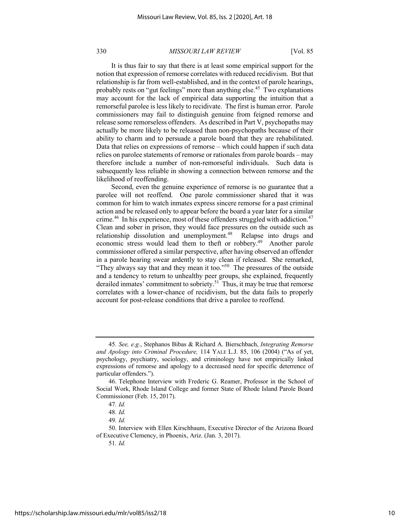It is thus fair to say that there is at least some empirical support for the notion that expression of remorse correlates with reduced recidivism. But that relationship is far from well-established, and in the context of parole hearings, probably rests on "gut feelings" more than anything else.<sup>45</sup> Two explanations may account for the lack of empirical data supporting the intuition that a remorseful parolee is less likely to recidivate. The first is human error. Parole commissioners may fail to distinguish genuine from feigned remorse and release some remorseless offenders. As described in Part V, psychopaths may actually be more likely to be released than non-psychopaths because of their ability to charm and to persuade a parole board that they are rehabilitated. Data that relies on expressions of remorse – which could happen if such data relies on parolee statements of remorse or rationales from parole boards – may therefore include a number of non-remorseful individuals. Such data is subsequently less reliable in showing a connection between remorse and the likelihood of reoffending.

Second, even the genuine experience of remorse is no guarantee that a parolee will not reoffend. One parole commissioner shared that it was common for him to watch inmates express sincere remorse for a past criminal action and be released only to appear before the board a year later for a similar crime.<sup>46</sup> In his experience, most of these offenders struggled with addiction.<sup>47</sup> Clean and sober in prison, they would face pressures on the outside such as relationship dissolution and unemployment.<sup>48</sup> Relapse into drugs and economic stress would lead them to theft or robbery.<sup>49</sup> Another parole commissioner offered a similar perspective, after having observed an offender in a parole hearing swear ardently to stay clean if released. She remarked, "They always say that and they mean it too."<sup>50</sup> The pressures of the outside and a tendency to return to unhealthy peer groups, she explained, frequently derailed inmates' commitment to sobriety.<sup>51</sup> Thus, it may be true that remorse correlates with a lower-chance of recidivism, but the data fails to properly account for post-release conditions that drive a parolee to reoffend.

<sup>45</sup>*. See, e.g.*, Stephanos Bibas & Richard A. Bierschbach, *Integrating Remorse and Apology into Criminal Procedure,* 114 YALE L.J. 85, 106 (2004) ("As of yet, psychology, psychiatry, sociology, and criminology have not empirically linked expressions of remorse and apology to a decreased need for specific deterrence of particular offenders.").

<sup>46.</sup> Telephone Interview with Frederic G. Reamer, Professor in the School of Social Work, Rhode Island College and former State of Rhode Island Parole Board Commissioner (Feb. 15, 2017).

<sup>47</sup>*. Id.* 

<sup>48</sup>*. Id.* 

<sup>49</sup>*. Id.* 

<sup>50.</sup> Interview with Ellen Kirschbaum, Executive Director of the Arizona Board of Executive Clemency, in Phoenix, Ariz. (Jan. 3, 2017).

<sup>51</sup>*. Id.*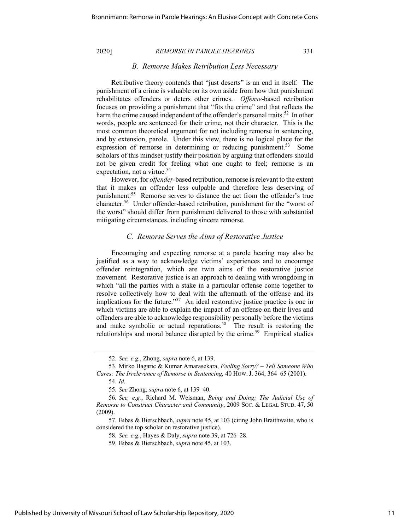# *B. Remorse Makes Retribution Less Necessary*

Retributive theory contends that "just deserts" is an end in itself. The punishment of a crime is valuable on its own aside from how that punishment rehabilitates offenders or deters other crimes. *Offense*-based retribution focuses on providing a punishment that "fits the crime" and that reflects the harm the crime caused independent of the offender's personal traits.<sup>52</sup> In other words, people are sentenced for their crime, not their character. This is the most common theoretical argument for not including remorse in sentencing, and by extension, parole. Under this view, there is no logical place for the expression of remorse in determining or reducing punishment.<sup>53</sup> Some scholars of this mindset justify their position by arguing that offenders should not be given credit for feeling what one ought to feel; remorse is an expectation, not a virtue.<sup>54</sup>

However, for *offender*-based retribution, remorse is relevant to the extent that it makes an offender less culpable and therefore less deserving of punishment.55 Remorse serves to distance the act from the offender's true character.56 Under offender-based retribution, punishment for the "worst of the worst" should differ from punishment delivered to those with substantial mitigating circumstances, including sincere remorse.

# *C. Remorse Serves the Aims of Restorative Justice*

Encouraging and expecting remorse at a parole hearing may also be justified as a way to acknowledge victims' experiences and to encourage offender reintegration, which are twin aims of the restorative justice movement. Restorative justice is an approach to dealing with wrongdoing in which "all the parties with a stake in a particular offense come together to resolve collectively how to deal with the aftermath of the offense and its implications for the future." $57$  An ideal restorative justice practice is one in which victims are able to explain the impact of an offense on their lives and offenders are able to acknowledge responsibility personally before the victims and make symbolic or actual reparations.<sup>58</sup> The result is restoring the relationships and moral balance disrupted by the crime.<sup>59</sup> Empirical studies

<sup>52.</sup> *See, e.g.*, Zhong, *supra* note 6, at 139.

<sup>53.</sup> Mirko Bagaric & Kumar Amarasekara, *Feeling Sorry? – Tell Someone Who Cares: The Irrelevance of Remorse in Sentencing,* 40 HOW.J. 364, 364–65 (2001).

<sup>54</sup>*. Id.*

<sup>55</sup>*. See* Zhong, *supra* note 6, at 139–40.

<sup>56</sup>*. See, e.g.*, Richard M. Weisman, *Being and Doing: The Judicial Use of Remorse to Construct Character and Community*, 2009 SOC. & LEGAL STUD. 47, 50 (2009).

<sup>57.</sup> Bibas & Bierschbach, *supra* note 45, at 103 (citing John Braithwaite, who is considered the top scholar on restorative justice).

<sup>58</sup>*. See, e.g.*, Hayes & Daly, *supra* note 39, at 726–28.

<sup>59.</sup> Bibas & Bierschbach, *supra* note 45, at 103.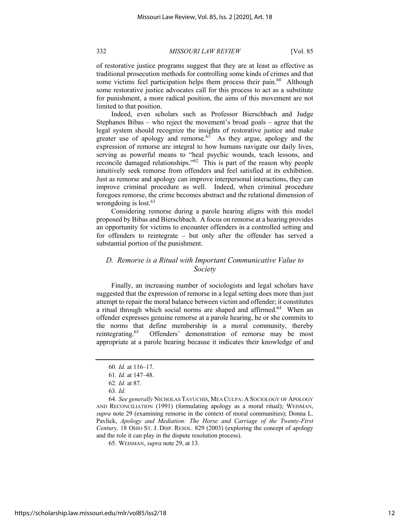of restorative justice programs suggest that they are at least as effective as traditional prosecution methods for controlling some kinds of crimes and that some victims feel participation helps them process their pain. $^{60}$  Although some restorative justice advocates call for this process to act as a substitute for punishment, a more radical position, the aims of this movement are not limited to that position.

Indeed, even scholars such as Professor Bierschbach and Judge Stephanos Bibas – who reject the movement's broad goals – agree that the legal system should recognize the insights of restorative justice and make greater use of apology and remorse. $61$  As they argue, apology and the expression of remorse are integral to how humans navigate our daily lives, serving as powerful means to "heal psychic wounds, teach lessons, and reconcile damaged relationships."62 This is part of the reason why people intuitively seek remorse from offenders and feel satisfied at its exhibition. Just as remorse and apology can improve interpersonal interactions, they can improve criminal procedure as well. Indeed, when criminal procedure foregoes remorse, the crime becomes abstract and the relational dimension of wrongdoing is lost. $63$ 

Considering remorse during a parole hearing aligns with this model proposed by Bibas and Bierschbach. A focus on remorse at a hearing provides an opportunity for victims to encounter offenders in a controlled setting and for offenders to reintegrate – but only after the offender has served a substantial portion of the punishment.

# *D. Remorse is a Ritual with Important Communicative Value to Society*

Finally, an increasing number of sociologists and legal scholars have suggested that the expression of remorse in a legal setting does more than just attempt to repair the moral balance between victim and offender; it constitutes a ritual through which social norms are shaped and affirmed.<sup>64</sup> When an offender expresses genuine remorse at a parole hearing, he or she commits to the norms that define membership in a moral community, thereby reintegrating.<sup>65</sup> Offenders' demonstration of remorse may be most appropriate at a parole hearing because it indicates their knowledge of and

<sup>60</sup>*. Id.* at 116–17.

<sup>61</sup>*. Id.* at 147–48.

<sup>62</sup>*. Id.* at 87.

<sup>63</sup>*. Id.* 

<sup>64</sup>*. See generally* NICHOLAS TAVUCHIS, MEA CULPA: A SOCIOLOGY OF APOLOGY AND RECONCILIATION (1991) (formulating apology as a moral ritual); WEISMAN, *supra* note 29 (examining remorse in the context of moral communities); Donna L. Pavlick, *Apology and Mediation: The Horse and Carriage of the Twenty-First Century,* 18 OHIO ST. J. DISP. RESOL. 829 (2003) (exploring the concept of apology and the role it can play in the dispute resolution process).

<sup>65.</sup> WEISMAN, *supra* note 29, at 13.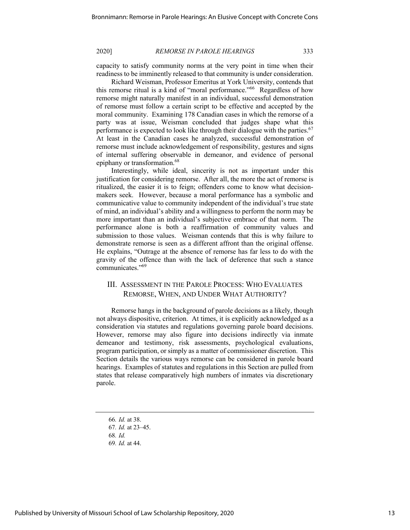capacity to satisfy community norms at the very point in time when their readiness to be imminently released to that community is under consideration.

Richard Weisman, Professor Emeritus at York University, contends that this remorse ritual is a kind of "moral performance."66 Regardless of how remorse might naturally manifest in an individual, successful demonstration of remorse must follow a certain script to be effective and accepted by the moral community. Examining 178 Canadian cases in which the remorse of a party was at issue, Weisman concluded that judges shape what this performance is expected to look like through their dialogue with the parties. $67$ At least in the Canadian cases he analyzed, successful demonstration of remorse must include acknowledgement of responsibility, gestures and signs of internal suffering observable in demeanor, and evidence of personal epiphany or transformation.<sup>68</sup>

Interestingly, while ideal, sincerity is not as important under this justification for considering remorse. After all, the more the act of remorse is ritualized, the easier it is to feign; offenders come to know what decisionmakers seek.However, because a moral performance has a symbolic and communicative value to community independent of the individual's true state of mind, an individual's ability and a willingness to perform the norm may be more important than an individual's subjective embrace of that norm. The performance alone is both a reaffirmation of community values and submission to those values. Weisman contends that this is why failure to demonstrate remorse is seen as a different affront than the original offense. He explains, "Outrage at the absence of remorse has far less to do with the gravity of the offence than with the lack of deference that such a stance communicates."69

# III. ASSESSMENT IN THE PAROLE PROCESS: WHO EVALUATES REMORSE, WHEN, AND UNDER WHAT AUTHORITY?

Remorse hangs in the background of parole decisions as a likely, though not always dispositive, criterion. At times, it is explicitly acknowledged as a consideration via statutes and regulations governing parole board decisions. However, remorse may also figure into decisions indirectly via inmate demeanor and testimony, risk assessments, psychological evaluations, program participation, or simply as a matter of commissioner discretion. This Section details the various ways remorse can be considered in parole board hearings. Examples of statutes and regulations in this Section are pulled from states that release comparatively high numbers of inmates via discretionary parole.

<sup>66</sup>*. Id.* at 38.

<sup>67</sup>*. Id.* at 23–45.

<sup>68</sup>*. Id.*

<sup>69</sup>*. Id.* at 44.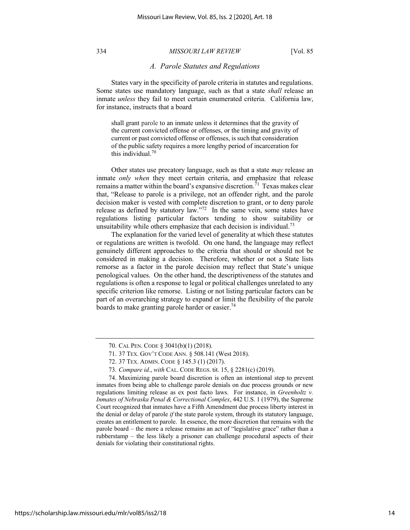# *A. Parole Statutes and Regulations*

States vary in the specificity of parole criteria in statutes and regulations. Some states use mandatory language, such as that a state *shall* release an inmate *unless* they fail to meet certain enumerated criteria. California law, for instance, instructs that a board

shall grant parole to an inmate unless it determines that the gravity of the current convicted offense or offenses, or the timing and gravity of current or past convicted offense or offenses, is such that consideration of the public safety requires a more lengthy period of incarceration for this individual. 70

Other states use precatory language, such as that a state *may* release an inmate *only when* they meet certain criteria, and emphasize that release remains a matter within the board's expansive discretion.<sup>71</sup> Texas makes clear that, "Release to parole is a privilege, not an offender right, and the parole decision maker is vested with complete discretion to grant, or to deny parole release as defined by statutory law."<sup>72</sup> In the same vein, some states have regulations listing particular factors tending to show suitability or unsuitability while others emphasize that each decision is individual.<sup>73</sup>

The explanation for the varied level of generality at which these statutes or regulations are written is twofold. On one hand, the language may reflect genuinely different approaches to the criteria that should or should not be considered in making a decision. Therefore, whether or not a State lists remorse as a factor in the parole decision may reflect that State's unique penological values. On the other hand, the descriptiveness of the statutes and regulations is often a response to legal or political challenges unrelated to any specific criterion like remorse. Listing or not listing particular factors can be part of an overarching strategy to expand or limit the flexibility of the parole boards to make granting parole harder or easier.<sup>74</sup>

<sup>70.</sup> CAL PEN. CODE § 3041(b)(1) (2018).

<sup>71.</sup> 37 TEX. GOV'T CODE ANN. § 508.141 (West 2018).

<sup>72.</sup> 37 TEX. ADMIN. CODE § 145.3 (1) (2017).

<sup>73</sup>*. Compare id.*, *with* CAL. CODE REGS. tit. 15, § 2281(c) (2019).

<sup>74.</sup> Maximizing parole board discretion is often an intentional step to prevent inmates from being able to challenge parole denials on due process grounds or new regulations limiting release as ex post facto laws. For instance, in *Greenholtz v. Inmates of Nebraska Penal & Correctional Complex*, 442 U.S. 1 (1979), the Supreme Court recognized that inmates have a Fifth Amendment due process liberty interest in the denial or delay of parole *if* the state parole system, through its statutory language, creates an entitlement to parole. In essence, the more discretion that remains with the parole board – the more a release remains an act of "legislative grace" rather than a rubberstamp – the less likely a prisoner can challenge procedural aspects of their denials for violating their constitutional rights.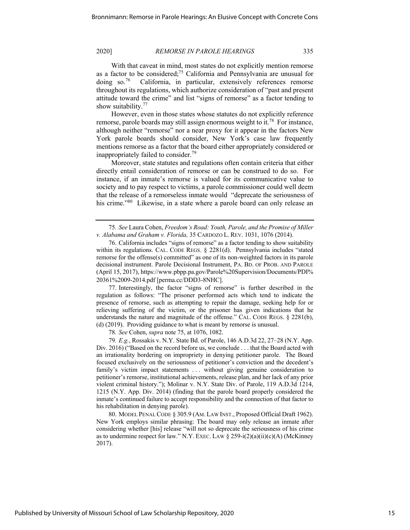With that caveat in mind, most states do not explicitly mention remorse as a factor to be considered;75 California and Pennsylvania are unusual for doing so.76 California, in particular, extensively references remorse throughout its regulations, which authorize consideration of "past and present attitude toward the crime" and list "signs of remorse" as a factor tending to show suitability.<sup>77</sup>

However, even in those states whose statutes do not explicitly reference remorse, parole boards may still assign enormous weight to it.<sup>78</sup> For instance, although neither "remorse" nor a near proxy for it appear in the factors New York parole boards should consider, New York's case law frequently mentions remorse as a factor that the board either appropriately considered or inappropriately failed to consider.<sup>79</sup>

Moreover, state statutes and regulations often contain criteria that either directly entail consideration of remorse or can be construed to do so. For instance, if an inmate's remorse is valued for its communicative value to society and to pay respect to victims, a parole commissioner could well deem that the release of a remorseless inmate would "deprecate the seriousness of his crime."<sup>80</sup> Likewise, in a state where a parole board can only release an

77. Interestingly, the factor "signs of remorse" is further described in the regulation as follows: "The prisoner performed acts which tend to indicate the presence of remorse, such as attempting to repair the damage, seeking help for or relieving suffering of the victim, or the prisoner has given indications that he understands the nature and magnitude of the offense." CAL. CODE REGS. § 2281(b), (d) (2019). Providing guidance to what is meant by remorse is unusual.

78*. See* Cohen, *supra* note 75, at 1076, 1082.

79*. E.g.*, Rossakis v. N.Y. State Bd. of Parole, 146 A.D.3d 22, 27–28 (N.Y. App. Div. 2016) ("Based on the record before us, we conclude . . . that the Board acted with an irrationality bordering on impropriety in denying petitioner parole. The Board focused exclusively on the seriousness of petitioner's conviction and the decedent's family's victim impact statements ... without giving genuine consideration to petitioner's remorse, institutional achievements, release plan, and her lack of any prior violent criminal history."); Molinar v. N.Y. State Div. of Parole, 119 A.D.3d 1214, 1215 (N.Y. App. Div. 2014) (finding that the parole board properly considered the inmate's continued failure to accept responsibility and the connection of that factor to his rehabilitation in denying parole).

80. MODEL PENAL CODE § 305.9 (AM. LAW INST., Proposed Official Draft 1962). New York employs similar phrasing: The board may only release an inmate after considering whether [his] release "will not so deprecate the seriousness of his crime as to undermine respect for law." N.Y. EXEC. LAW  $\S$  259-i(2)(a)(ii)(c)(A) (McKinney 2017).

<sup>75</sup>*. See* Laura Cohen, *Freedom's Road: Youth, Parole, and the Promise of Miller v. Alabama and Graham v. Florida,* 35 CARDOZO L. REV. 1031, 1076 (2014).

<sup>76.</sup> California includes "signs of remorse" as a factor tending to show suitability within its regulations. CAL. CODE REGS. § 2281(d). Pennsylvania includes "stated remorse for the offense(s) committed" as one of its non-weighted factors in its parole decisional instrument. Parole Decisional Instrument, PA. BD. OF PROB. AND PAROLE (April 15, 2017), https://www.pbpp.pa.gov/Parole%20Supervision/Documents/PDI% 20361%2009-2014.pdf [perma.cc/DDD3-8NHC].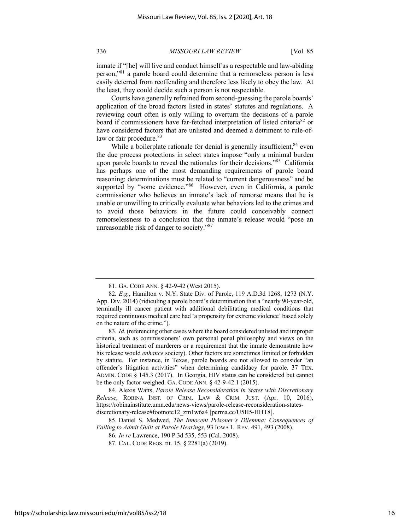inmate if "[he] will live and conduct himself as a respectable and law-abiding person,"81 a parole board could determine that a remorseless person is less easily deterred from reoffending and therefore less likely to obey the law. At the least, they could decide such a person is not respectable.

Courts have generally refrained from second-guessing the parole boards' application of the broad factors listed in states' statutes and regulations. A reviewing court often is only willing to overturn the decisions of a parole board if commissioners have far-fetched interpretation of listed criteria<sup>82</sup> or have considered factors that are unlisted and deemed a detriment to rule-oflaw or fair procedure.<sup>83</sup>

While a boilerplate rationale for denial is generally insufficient, 84 even the due process protections in select states impose "only a minimal burden upon parole boards to reveal the rationales for their decisions."<sup>85</sup> California has perhaps one of the most demanding requirements of parole board reasoning: determinations must be related to "current dangerousness" and be supported by "some evidence."<sup>86</sup> However, even in California, a parole commissioner who believes an inmate's lack of remorse means that he is unable or unwilling to critically evaluate what behaviors led to the crimes and to avoid those behaviors in the future could conceivably connect remorselessness to a conclusion that the inmate's release would "pose an unreasonable risk of danger to society."<sup>87</sup>

84. Alexis Watts, *Parole Release Reconsideration in States with Discretionary Release*, ROBINA INST. OF CRIM. LAW & CRIM. JUST. (Apr. 10, 2016), https://robinainstitute.umn.edu/news-views/parole-release-reconsideration-statesdiscretionary-release#footnote12\_zm1w6a4 [perma.cc/U5H5-HHT8].

85. Daniel S. Medwed, *The Innocent Prisoner's Dilemma: Consequences of Failing to Admit Guilt at Parole Hearings*, 93 IOWA L. REV. 491, 493 (2008).

<sup>81.</sup> GA. CODE ANN. § 42-9-42 (West 2015).

<sup>82</sup>*. E.g.*, Hamilton v. N.Y. State Div. of Parole, 119 A.D.3d 1268, 1273 (N.Y. App. Div. 2014) (ridiculing a parole board's determination that a "nearly 90-year-old, terminally ill cancer patient with additional debilitating medical conditions that required continuous medical care had 'a propensity for extreme violence' based solely on the nature of the crime.").

<sup>83</sup>*. Id.* (referencing other cases where the board considered unlisted and improper criteria, such as commissioners' own personal penal philosophy and views on the historical treatment of murderers or a requirement that the inmate demonstrate how his release would *enhance* society). Other factors are sometimes limited or forbidden by statute. For instance, in Texas, parole boards are not allowed to consider "an offender's litigation activities" when determining candidacy for parole. 37 TEX. ADMIN. CODE § 145.3 (2017). In Georgia, HIV status can be considered but cannot be the only factor weighed. GA. CODE ANN. § 42-9-42.1 (2015).

<sup>86</sup>*. In re* Lawrence, 190 P.3d 535, 553 (Cal. 2008).

<sup>87.</sup> CAL. CODE REGS. tit. 15, § 2281(a) (2019).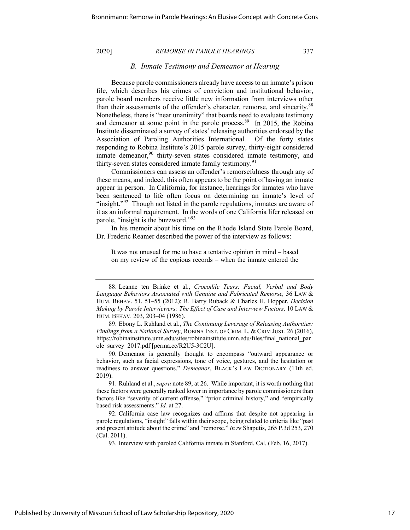## *B. Inmate Testimony and Demeanor at Hearing*

Because parole commissioners already have access to an inmate's prison file, which describes his crimes of conviction and institutional behavior, parole board members receive little new information from interviews other than their assessments of the offender's character, remorse, and sincerity.<sup>88</sup> Nonetheless, there is "near unanimity" that boards need to evaluate testimony and demeanor at some point in the parole process.<sup>89</sup> In 2015, the Robina Institute disseminated a survey of states' releasing authorities endorsed by the Association of Paroling Authorities International. Of the forty states responding to Robina Institute's 2015 parole survey, thirty-eight considered inmate demeanor,  $90$  thirty-seven states considered inmate testimony, and thirty-seven states considered inmate family testimony.<sup>91</sup>

Commissioners can assess an offender's remorsefulness through any of these means, and indeed, this often appears to be the point of having an inmate appear in person. In California, for instance, hearings for inmates who have been sentenced to life often focus on determining an inmate's level of "insight."<sup>92</sup> Though not listed in the parole regulations, inmates are aware of it as an informal requirement. In the words of one California lifer released on parole, "insight is the buzzword."93

In his memoir about his time on the Rhode Island State Parole Board, Dr. Frederic Reamer described the power of the interview as follows:

It was not unusual for me to have a tentative opinion in mind – based on my review of the copious records – when the inmate entered the

90. Demeanor is generally thought to encompass "outward appearance or behavior, such as facial expressions, tone of voice, gestures, and the hesitation or readiness to answer questions." *Demeanor*, BLACK'S LAW DICTIONARY (11th ed. 2019).

91. Ruhland et al.,*supra* note 89, at 26. While important, it is worth nothing that these factors were generally ranked lower in importance by parole commissioners than factors like "severity of current offense," "prior criminal history," and "empirically based risk assessments." *Id.* at 27.

92. California case law recognizes and affirms that despite not appearing in parole regulations, "insight" falls within their scope, being related to criteria like "past and present attitude about the crime" and "remorse." *In re* Shaputis, 265 P.3d 253, 270 (Cal. 2011).

93. Interview with paroled California inmate in Stanford, Cal. (Feb. 16, 2017).

<sup>88.</sup> Leanne ten Brinke et al., *Crocodile Tears: Facial, Verbal and Body Language Behaviors Associated with Genuine and Fabricated Remorse,* 36 LAW & HUM. BEHAV. 51, 51–55 (2012); R. Barry Ruback & Charles H. Hopper, *Decision Making by Parole Interviewers: The Effect of Case and Interview Factors,* 10 LAW & HUM. BEHAV. 203, 203–04 (1986).

<sup>89.</sup> Ebony L. Ruhland et al., *The Continuing Leverage of Releasing Authorities: Findings from a National Survey*, ROBINA INST. OF CRIM. L. & CRIM JUST. 26 (2016), https://robinainstitute.umn.edu/sites/robinainstitute.umn.edu/files/final\_national\_par ole\_survey\_2017.pdf [perma.cc/R2U5-3C2U].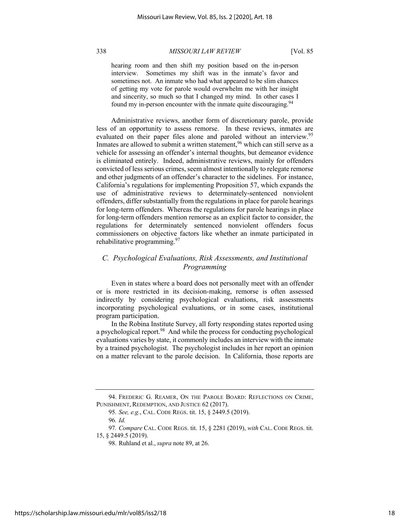hearing room and then shift my position based on the in-person interview. Sometimes my shift was in the inmate's favor and sometimes not. An inmate who had what appeared to be slim chances of getting my vote for parole would overwhelm me with her insight and sincerity, so much so that I changed my mind. In other cases I found my in-person encounter with the inmate quite discouraging.<sup>94</sup>

Administrative reviews, another form of discretionary parole, provide less of an opportunity to assess remorse. In these reviews, inmates are evaluated on their paper files alone and paroled without an interview.<sup>95</sup> Inmates are allowed to submit a written statement,  $96$  which can still serve as a vehicle for assessing an offender's internal thoughts, but demeanor evidence is eliminated entirely. Indeed, administrative reviews, mainly for offenders convicted of less serious crimes, seem almost intentionally to relegate remorse and other judgments of an offender's character to the sidelines. For instance, California's regulations for implementing Proposition 57, which expands the use of administrative reviews to determinately-sentenced nonviolent offenders, differ substantially from the regulations in place for parole hearings for long-term offenders. Whereas the regulations for parole hearings in place for long-term offenders mention remorse as an explicit factor to consider, the regulations for determinately sentenced nonviolent offenders focus commissioners on objective factors like whether an inmate participated in rehabilitative programming. $97$ 

# *C. Psychological Evaluations, Risk Assessments, and Institutional Programming*

Even in states where a board does not personally meet with an offender or is more restricted in its decision-making, remorse is often assessed indirectly by considering psychological evaluations, risk assessments incorporating psychological evaluations, or in some cases, institutional program participation.

In the Robina Institute Survey, all forty responding states reported using a psychological report.98 And while the process for conducting psychological evaluations varies by state, it commonly includes an interview with the inmate by a trained psychologist. The psychologist includes in her report an opinion on a matter relevant to the parole decision. In California, those reports are

97*. Compare* CAL. CODE REGS. tit. 15, § 2281 (2019), *with* CAL. CODE REGS. tit. 15, § 2449.5 (2019).

<sup>94.</sup> FREDERIC G. REAMER, ON THE PAROLE BOARD: REFLECTIONS ON CRIME, PUNISHMENT, REDEMPTION, AND JUSTICE 62 (2017).

<sup>95</sup>*. See, e.g.*, CAL. CODE REGS. tit. 15, § 2449.5 (2019).

<sup>96</sup>*. Id.* 

<sup>98.</sup> Ruhland et al.,*supra* note 89, at 26.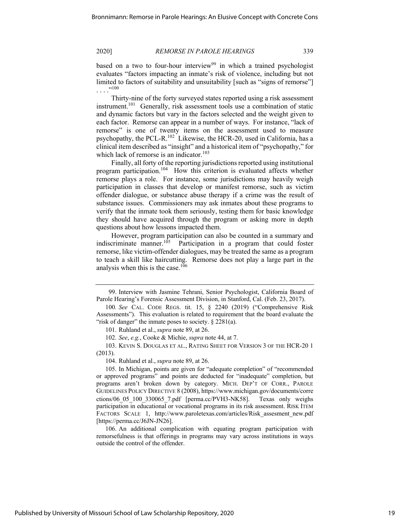based on a two to four-hour interview<sup>99</sup> in which a trained psychologist evaluates "factors impacting an inmate's risk of violence, including but not limited to factors of suitability and unsuitability [such as "signs of remorse"]  $, 100$ 

Thirty-nine of the forty surveyed states reported using a risk assessment instrument.<sup>101</sup> Generally, risk assessment tools use a combination of static and dynamic factors but vary in the factors selected and the weight given to each factor. Remorse can appear in a number of ways. For instance, "lack of remorse" is one of twenty items on the assessment used to measure psychopathy, the PCL-R.102 Likewise, the HCR-20, used in California, has a clinical item described as "insight" and a historical item of "psychopathy," for which lack of remorse is an indicator.<sup>103</sup>

Finally, all forty of the reporting jurisdictions reported using institutional program participation.104 How this criterion is evaluated affects whether remorse plays a role. For instance, some jurisdictions may heavily weigh participation in classes that develop or manifest remorse, such as victim offender dialogue, or substance abuse therapy if a crime was the result of substance issues. Commissioners may ask inmates about these programs to verify that the inmate took them seriously, testing them for basic knowledge they should have acquired through the program or asking more in depth questions about how lessons impacted them.

However, program participation can also be counted in a summary and indiscriminate manner.<sup>105</sup> Participation in a program that could foster remorse, like victim-offender dialogues, may be treated the same as a program to teach a skill like haircutting. Remorse does not play a large part in the analysis when this is the case.106

103. KEVIN S. DOUGLAS ET AL., RATING SHEET FOR VERSION 3 OF THE HCR-20 1 (2013).

104. Ruhland et al.,*supra* note 89, at 26.

105. In Michigan, points are given for "adequate completion" of "recommended or approved programs" and points are deducted for "inadequate" completion, but programs aren't broken down by category. MICH. DEP'T OF CORR., PAROLE GUIDELINES POLICY DIRECTIVE 8 (2008), https://www.michigan.gov/documents/corre ctions/06\_05\_100\_330065\_7.pdf [perma.cc/PVH3-NK58]. Texas only weighs participation in educational or vocational programs in its risk assessment. RISK ITEM FACTORS SCALE 1, http://www.paroletexas.com/articles/Risk assesment new.pdf [https://perma.cc/J6JN-JN26].

106. An additional complication with equating program participation with remorsefulness is that offerings in programs may vary across institutions in ways outside the control of the offender.

<sup>99.</sup> Interview with Jasmine Tehrani, Senior Psychologist, California Board of Parole Hearing's Forensic Assessment Division, in Stanford, Cal. (Feb. 23, 2017).

<sup>100</sup>*. See* CAL. CODE REGS. tit. 15, § 2240 (2019) ("Comprehensive Risk Assessments"). This evaluation is related to requirement that the board evaluate the "risk of danger" the inmate poses to society. § 2281(a).

<sup>101.</sup> Ruhland et al.,*supra* note 89, at 26.

<sup>102</sup>*. See*, *e.g.*, Cooke & Michie, *supra* note 44, at 7.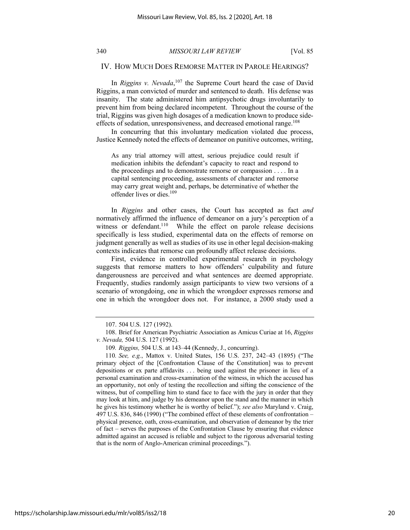### IV. HOW MUCH DOES REMORSE MATTER IN PAROLE HEARINGS?

In *Riggins v. Nevada*,<sup>107</sup> the Supreme Court heard the case of David Riggins, a man convicted of murder and sentenced to death. His defense was insanity. The state administered him antipsychotic drugs involuntarily to prevent him from being declared incompetent. Throughout the course of the trial, Riggins was given high dosages of a medication known to produce sideeffects of sedation, unresponsiveness, and decreased emotional range.<sup>108</sup>

In concurring that this involuntary medication violated due process, Justice Kennedy noted the effects of demeanor on punitive outcomes, writing,

As any trial attorney will attest, serious prejudice could result if medication inhibits the defendant's capacity to react and respond to the proceedings and to demonstrate remorse or compassion . . . . In a capital sentencing proceeding, assessments of character and remorse may carry great weight and, perhaps, be determinative of whether the offender lives or dies.<sup>109</sup>

In *Riggins* and other cases, the Court has accepted as fact *and* normatively affirmed the influence of demeanor on a jury's perception of a witness or defendant.<sup>110</sup> While the effect on parole release decisions specifically is less studied, experimental data on the effects of remorse on judgment generally as well as studies of its use in other legal decision-making contexts indicates that remorse can profoundly affect release decisions.

First, evidence in controlled experimental research in psychology suggests that remorse matters to how offenders' culpability and future dangerousness are perceived and what sentences are deemed appropriate. Frequently, studies randomly assign participants to view two versions of a scenario of wrongdoing, one in which the wrongdoer expresses remorse and one in which the wrongdoer does not. For instance, a 2000 study used a

<sup>107.</sup> 504 U.S. 127 (1992).

<sup>108.</sup> Brief for American Psychiatric Association as Amicus Curiae at 16, *Riggins v. Nevada,* 504 U.S. 127 (1992).

<sup>109</sup>*. Riggins,* 504 U.S. at 143–44 (Kennedy, J., concurring).

<sup>110</sup>*. See, e.g.*, Mattox v. United States, 156 U.S. 237, 242–43 (1895) ("The primary object of the [Confrontation Clause of the Constitution] was to prevent depositions or ex parte affidavits . . . being used against the prisoner in lieu of a personal examination and cross-examination of the witness, in which the accused has an opportunity, not only of testing the recollection and sifting the conscience of the witness, but of compelling him to stand face to face with the jury in order that they may look at him, and judge by his demeanor upon the stand and the manner in which he gives his testimony whether he is worthy of belief."); *see also* Maryland v. Craig, 497 U.S. 836, 846 (1990) ("The combined effect of these elements of confrontation – physical presence, oath, cross-examination, and observation of demeanor by the trier of fact – serves the purposes of the Confrontation Clause by ensuring that evidence admitted against an accused is reliable and subject to the rigorous adversarial testing that is the norm of Anglo-American criminal proceedings.").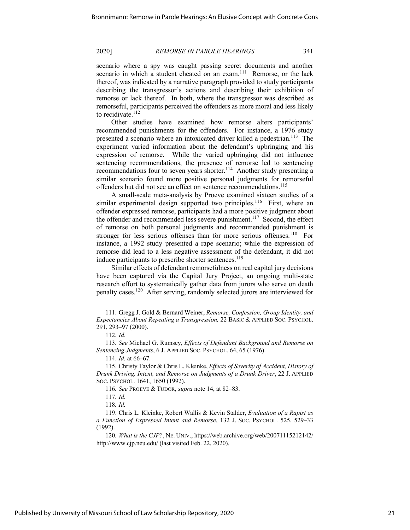scenario where a spy was caught passing secret documents and another scenario in which a student cheated on an exam.<sup>111</sup> Remorse, or the lack thereof, was indicated by a narrative paragraph provided to study participants describing the transgressor's actions and describing their exhibition of remorse or lack thereof. In both, where the transgressor was described as remorseful, participants perceived the offenders as more moral and less likely to recidivate.<sup>112</sup>

Other studies have examined how remorse alters participants' recommended punishments for the offenders. For instance, a 1976 study presented a scenario where an intoxicated driver killed a pedestrian.<sup>113</sup> The experiment varied information about the defendant's upbringing and his expression of remorse. While the varied upbringing did not influence sentencing recommendations, the presence of remorse led to sentencing recommendations four to seven years shorter.<sup>114</sup> Another study presenting a similar scenario found more positive personal judgments for remorseful offenders but did not see an effect on sentence recommendations.<sup>115</sup>

A small-scale meta-analysis by Proeve examined sixteen studies of a similar experimental design supported two principles.<sup>116</sup> First, where an offender expressed remorse, participants had a more positive judgment about the offender and recommended less severe punishment.<sup>117</sup> Second, the effect of remorse on both personal judgments and recommended punishment is stronger for less serious offenses than for more serious offenses.<sup>118</sup> For instance, a 1992 study presented a rape scenario; while the expression of remorse did lead to a less negative assessment of the defendant, it did not induce participants to prescribe shorter sentences.<sup>119</sup>

Similar effects of defendant remorsefulness on real capital jury decisions have been captured via the Capital Jury Project, an ongoing multi-state research effort to systematically gather data from jurors who serve on death penalty cases.120 After serving, randomly selected jurors are interviewed for

114. *Id.* at 66–67.

<sup>111.</sup> Gregg J. Gold & Bernard Weiner, *Remorse, Confession, Group Identity, and Expectancies About Repeating a Transgression,* 22 BASIC & APPLIED SOC. PSYCHOL. 291, 293–97 (2000).

<sup>112</sup>*. Id.*

<sup>113</sup>*. See* Michael G. Rumsey, *Effects of Defendant Background and Remorse on Sentencing Judgments*, 6 J. APPLIED SOC. PSYCHOL. 64, 65 (1976).

<sup>115.</sup> Christy Taylor & Chris L. Kleinke, *Effects of Severity of Accident, History of Drunk Driving, Intent, and Remorse on Judgments of a Drunk Driver*, 22 J. APPLIED SOC. PSYCHOL. 1641, 1650 (1992).

<sup>116</sup>*. See* PROEVE & TUDOR, *supra* note 14, at 82–83.

<sup>117</sup>*. Id.*

<sup>118</sup>*. Id.* 

<sup>119.</sup> Chris L. Kleinke, Robert Wallis & Kevin Stalder, *Evaluation of a Rapist as a Function of Expressed Intent and Remorse*, 132 J. SOC. PSYCHOL. 525, 529–33 (1992).

<sup>120</sup>*. What is the CJP?*, NE. UNIV., https://web.archive.org/web/20071115212142/ http://www.cjp.neu.edu/ (last visited Feb. 22, 2020).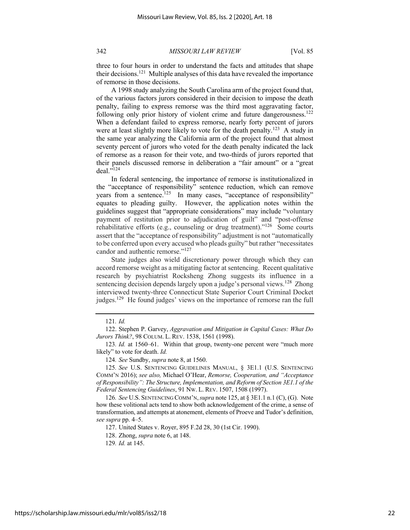three to four hours in order to understand the facts and attitudes that shape their decisions.121 Multiple analyses of this data have revealed the importance of remorse in those decisions.

A 1998 study analyzing the South Carolina arm of the project found that, of the various factors jurors considered in their decision to impose the death penalty, failing to express remorse was the third most aggravating factor, following only prior history of violent crime and future dangerousness.<sup>122</sup> When a defendant failed to express remorse, nearly forty percent of jurors were at least slightly more likely to vote for the death penalty.<sup>123</sup> A study in the same year analyzing the California arm of the project found that almost seventy percent of jurors who voted for the death penalty indicated the lack of remorse as a reason for their vote, and two-thirds of jurors reported that their panels discussed remorse in deliberation a "fair amount" or a "great deal."124

In federal sentencing, the importance of remorse is institutionalized in the "acceptance of responsibility" sentence reduction, which can remove years from a sentence.<sup>125</sup> In many cases, "acceptance of responsibility" equates to pleading guilty. However, the application notes within the guidelines suggest that "appropriate considerations" may include "voluntary payment of restitution prior to adjudication of guilt" and "post-offense rehabilitative efforts (e.g., counseling or drug treatment)."<sup>126</sup> Some courts assert that the "acceptance of responsibility" adjustment is not "automatically to be conferred upon every accused who pleads guilty" but rather "necessitates candor and authentic remorse."<sup>127</sup>

State judges also wield discretionary power through which they can accord remorse weight as a mitigating factor at sentencing. Recent qualitative research by psychiatrist Rocksheng Zhong suggests its influence in a sentencing decision depends largely upon a judge's personal views.<sup>128</sup> Zhong interviewed twenty-three Connecticut State Superior Court Criminal Docket judges.<sup>129</sup> He found judges' views on the importance of remorse ran the full

<sup>121</sup>*. Id.* 

<sup>122.</sup> Stephen P. Garvey, *Aggravation and Mitigation in Capital Cases: What Do Jurors Think?*, 98 COLUM. L. REV. 1538, 1561 (1998).

<sup>123</sup>*. Id.* at 1560–61. Within that group, twenty-one percent were "much more likely" to vote for death. *Id.* 

<sup>124</sup>*. See* Sundby, *supra* note 8, at 1560.

<sup>125</sup>*. See* U.S. SENTENCING GUIDELINES MANUAL, § 3E1.1 (U.S. SENTENCING COMM'N 2016); *see also,* Michael O'Hear, *Remorse, Cooperation, and "Acceptance of Responsibility": The Structure, Implementation, and Reform of Section 3E1.1 of the Federal Sentencing Guidelines*, 91 NW. L. REV. 1507, 1508 (1997).

<sup>126</sup>*. See* U.S. SENTENCING COMM'N,*supra* note 125, at § 3E1.1 n.1 (C), (G). Note how these volitional acts tend to show both acknowledgement of the crime, a sense of transformation, and attempts at atonement, elements of Proeve and Tudor's definition, *see supra* pp. 4–5.

<sup>127.</sup> United States v. Royer, 895 F.2d 28, 30 (1st Cir. 1990).

<sup>128.</sup> Zhong, *supra* note 6, at 148.

<sup>129</sup>*. Id.* at 145.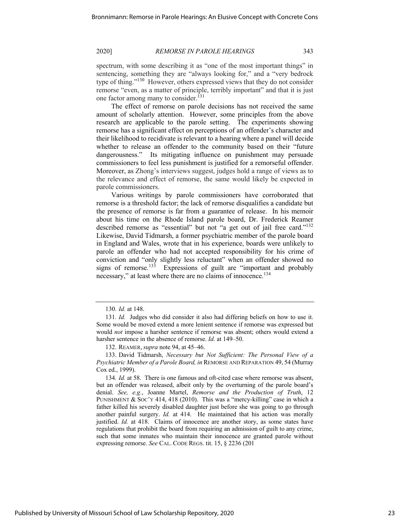spectrum, with some describing it as "one of the most important things" in sentencing, something they are "always looking for," and a "very bedrock type of thing."130 However, others expressed views that they do not consider remorse "even, as a matter of principle, terribly important" and that it is just one factor among many to consider.<sup>131</sup>

The effect of remorse on parole decisions has not received the same amount of scholarly attention. However, some principles from the above research are applicable to the parole setting. The experiments showing remorse has a significant effect on perceptions of an offender's character and their likelihood to recidivate is relevant to a hearing where a panel will decide whether to release an offender to the community based on their "future dangerousness." Its mitigating influence on punishment may persuade commissioners to feel less punishment is justified for a remorseful offender. Moreover, as Zhong's interviews suggest, judges hold a range of views as to the relevance and effect of remorse, the same would likely be expected in parole commissioners.

Various writings by parole commissioners have corroborated that remorse is a threshold factor; the lack of remorse disqualifies a candidate but the presence of remorse is far from a guarantee of release. In his memoir about his time on the Rhode Island parole board, Dr. Frederick Reamer described remorse as "essential" but not "a get out of jail free card."<sup>132</sup> Likewise, David Tidmarsh, a former psychiatric member of the parole board in England and Wales, wrote that in his experience, boards were unlikely to parole an offender who had not accepted responsibility for his crime of conviction and "only slightly less reluctant" when an offender showed no signs of remorse.<sup>133</sup> Expressions of guilt are "important and probably necessary," at least where there are no claims of innocence.<sup>134</sup>

<sup>130</sup>*. Id.* at 148.

<sup>131</sup>*. Id.* Judges who did consider it also had differing beliefs on how to use it. Some would be moved extend a more lenient sentence if remorse was expressed but would *not* impose a harsher sentence if remorse was absent; others would extend a harsher sentence in the absence of remorse. *Id.* at 149–50.

<sup>132.</sup> REAMER,*supra* note 94, at 45–46.

<sup>133.</sup> David Tidmarsh, *Necessary but Not Sufficient: The Personal View of a Psychiatric Member of a Parole Board, in* REMORSE AND REPARATION 49, 54 (Murray Cox ed., 1999).

<sup>134</sup>*. Id.* at 58. There is one famous and oft-cited case where remorse was absent, but an offender was released, albeit only by the overturning of the parole board's denial. *See, e.g.*, Joanne Martel, *Remorse and the Production of Truth*, 12 PUNISHMENT & SOC'Y 414, 418 (2010). This was a "mercy-killing" case in which a father killed his severely disabled daughter just before she was going to go through another painful surgery. *Id.* at 414. He maintained that his action was morally justified. *Id.* at 418. Claims of innocence are another story, as some states have regulations that prohibit the board from requiring an admission of guilt to any crime, such that some inmates who maintain their innocence are granted parole without expressing remorse. *See* CAL. CODE REGS. tit. 15, § 2236 (201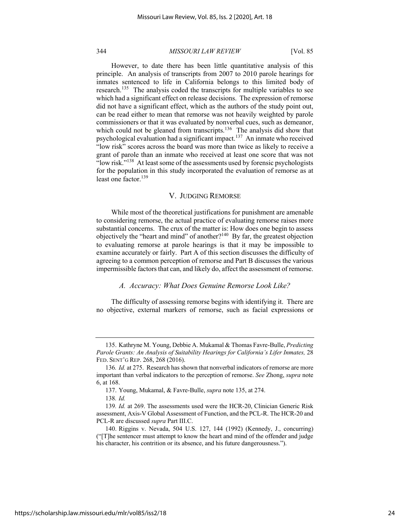However, to date there has been little quantitative analysis of this principle. An analysis of transcripts from 2007 to 2010 parole hearings for inmates sentenced to life in California belongs to this limited body of research.<sup>135</sup> The analysis coded the transcripts for multiple variables to see which had a significant effect on release decisions. The expression of remorse did not have a significant effect, which as the authors of the study point out, can be read either to mean that remorse was not heavily weighted by parole commissioners or that it was evaluated by nonverbal cues, such as demeanor, which could not be gleaned from transcripts.<sup>136</sup> The analysis did show that psychological evaluation had a significant impact.<sup>137</sup> An inmate who received "low risk" scores across the board was more than twice as likely to receive a grant of parole than an inmate who received at least one score that was not "low risk."<sup>138</sup> At least some of the assessments used by forensic psychologists for the population in this study incorporated the evaluation of remorse as at least one factor. $139$ 

### V. JUDGING REMORSE

While most of the theoretical justifications for punishment are amenable to considering remorse, the actual practice of evaluating remorse raises more substantial concerns. The crux of the matter is: How does one begin to assess objectively the "heart and mind" of another? $140$  By far, the greatest objection to evaluating remorse at parole hearings is that it may be impossible to examine accurately or fairly. Part A of this section discusses the difficulty of agreeing to a common perception of remorse and Part B discusses the various impermissible factors that can, and likely do, affect the assessment of remorse.

### *A. Accuracy: What Does Genuine Remorse Look Like?*

The difficulty of assessing remorse begins with identifying it. There are no objective, external markers of remorse, such as facial expressions or

<sup>135.</sup> Kathryne M. Young, Debbie A. Mukamal & Thomas Favre-Bulle, *Predicting Parole Grants: An Analysis of Suitability Hearings for California's Lifer Inmates,* 28 FED. SENT'G REP. 268, 268 (2016).

<sup>136</sup>*. Id.* at 275. Research has shown that nonverbal indicators of remorse are more important than verbal indicators to the perception of remorse. *See* Zhong, *supra* note 6, at 168.

<sup>137.</sup> Young, Mukamal, & Favre-Bulle, *supra* note 135, at 274.

<sup>138</sup>*. Id.*

<sup>139</sup>*. Id.* at 269. The assessments used were the HCR-20, Clinician Generic Risk assessment, Axis-V Global Assessment of Function, and the PCL-R. The HCR-20 and PCL-R are discussed *supra* Part III.C.

<sup>140.</sup> Riggins v. Nevada, 504 U.S. 127, 144 (1992) (Kennedy, J., concurring) ("[T]he sentencer must attempt to know the heart and mind of the offender and judge his character, his contrition or its absence, and his future dangerousness.").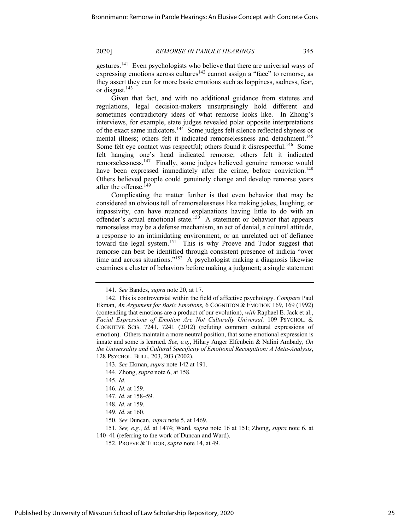gestures.141 Even psychologists who believe that there are universal ways of expressing emotions across cultures<sup>142</sup> cannot assign a "face" to remorse, as they assert they can for more basic emotions such as happiness, sadness, fear, or disgust.143

Given that fact, and with no additional guidance from statutes and regulations, legal decision-makers unsurprisingly hold different and sometimes contradictory ideas of what remorse looks like. In Zhong's interviews, for example, state judges revealed polar opposite interpretations of the exact same indicators.144 Some judges felt silence reflected shyness or mental illness; others felt it indicated remorselessness and detachment.<sup>145</sup> Some felt eye contact was respectful; others found it disrespectful.<sup>146</sup> Some felt hanging one's head indicated remorse; others felt it indicated remorselessness.147 Finally, some judges believed genuine remorse would have been expressed immediately after the crime, before conviction.<sup>148</sup> Others believed people could genuinely change and develop remorse years after the offense.<sup>149</sup>

Complicating the matter further is that even behavior that may be considered an obvious tell of remorselessness like making jokes, laughing, or impassivity, can have nuanced explanations having little to do with an offender's actual emotional state.<sup>150</sup> A statement or behavior that appears remorseless may be a defense mechanism, an act of denial, a cultural attitude, a response to an intimidating environment, or an unrelated act of defiance toward the legal system.<sup>151</sup> This is why Proeve and Tudor suggest that remorse can best be identified through consistent presence of indicia "over time and across situations."<sup>152</sup> A psychologist making a diagnosis likewise examines a cluster of behaviors before making a judgment; a single statement

- 147*. Id.* at 158–59.
- 148*. Id.* at 159.

<sup>141</sup>*. See* Bandes, *supra* note 20, at 17.

<sup>142.</sup> This is controversial within the field of affective psychology. *Compare* Paul Ekman, *An Argument for Basic Emotions,* 6 COGNITION & EMOTION 169, 169 (1992) (contending that emotions are a product of our evolution), *with* Raphael E. Jack et al., *Facial Expressions of Emotion Are Not Culturally Universal,* 109 PSYCHOL. & COGNITIVE SCIS. 7241, 7241 (2012) (refuting common cultural expressions of emotion). Others maintain a more neutral position, that some emotional expression is innate and some is learned. *See, e.g.*, Hilary Anger Elfenbein & Nalini Ambady, *On the Universality and Cultural Specificity of Emotional Recognition: A Meta-Analysis*, 128 PSYCHOL. BULL. 203, 203 (2002).

<sup>143</sup>*. See* Ekman, *supra* note 142 at 191.

<sup>144.</sup> Zhong, *supra* note 6, at 158.

<sup>145</sup>*. Id.*

<sup>146</sup>*. Id.* at 159.

<sup>149</sup>*. Id.* at 160.

<sup>150</sup>*. See* Duncan, *supra* note 5, at 1469.

<sup>151</sup>*. See, e.g.*, *id.* at 1474; Ward, *supra* note 16 at 151; Zhong, *supra* note 6, at 140–41 (referring to the work of Duncan and Ward).

<sup>152.</sup> PROEVE & TUDOR, *supra* note 14, at 49.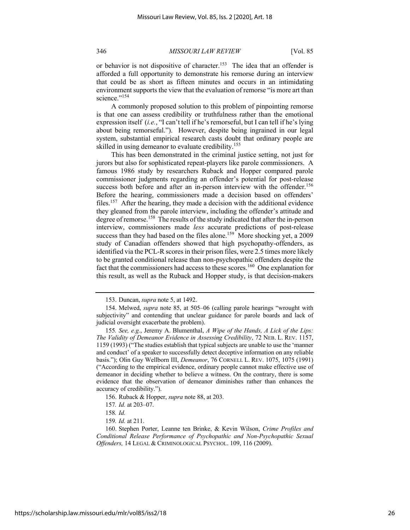or behavior is not dispositive of character.<sup>153</sup> The idea that an offender is afforded a full opportunity to demonstrate his remorse during an interview that could be as short as fifteen minutes and occurs in an intimidating environment supports the view that the evaluation of remorse "is more art than science."<sup>154</sup>

A commonly proposed solution to this problem of pinpointing remorse is that one can assess credibility or truthfulness rather than the emotional expression itself (*i.e.*, "I can't tell if he's remorseful, but I can tell if he's lying about being remorseful."). However, despite being ingrained in our legal system, substantial empirical research casts doubt that ordinary people are skilled in using demeanor to evaluate credibility.<sup>155</sup>

This has been demonstrated in the criminal justice setting, not just for jurors but also for sophisticated repeat-players like parole commissioners. A famous 1986 study by researchers Ruback and Hopper compared parole commissioner judgments regarding an offender's potential for post-release success both before and after an in-person interview with the offender.<sup>156</sup> Before the hearing, commissioners made a decision based on offenders' files.<sup>157</sup> After the hearing, they made a decision with the additional evidence they gleaned from the parole interview, including the offender's attitude and degree of remorse.<sup>158</sup> The results of the study indicated that after the in-person interview, commissioners made *less* accurate predictions of post-release success than they had based on the files alone.<sup>159</sup> More shocking yet, a 2009 study of Canadian offenders showed that high psychopathy-offenders, as identified via the PCL-R scores in their prison files, were 2.5 times more likely to be granted conditional release than non-psychopathic offenders despite the fact that the commissioners had access to these scores.<sup>160</sup> One explanation for this result, as well as the Ruback and Hopper study, is that decision-makers

<sup>153.</sup> Duncan, *supra* note 5, at 1492.

<sup>154.</sup> Melwed, *supra* note 85, at 505–06 (calling parole hearings "wrought with subjectivity" and contending that unclear guidance for parole boards and lack of judicial oversight exacerbate the problem).

<sup>155</sup>*. See, e.g.*, Jeremy A. Blumenthal, *A Wipe of the Hands, A Lick of the Lips: The Validity of Demeanor Evidence in Assessing Credibility*, 72 NEB. L. REV. 1157, 1159 (1993) ("The studies establish that typical subjects are unable to use the 'manner and conduct' of a speaker to successfully detect deceptive information on any reliable basis."); Olin Guy Wellborn III, *Demeanor*, 76 CORNELL L. REV. 1075, 1075 (1991) ("According to the empirical evidence, ordinary people cannot make effective use of demeanor in deciding whether to believe a witness. On the contrary, there is some evidence that the observation of demeanor diminishes rather than enhances the accuracy of credibility.").

<sup>156.</sup> Ruback & Hopper, *supra* note 88, at 203.

<sup>157</sup>*. Id.* at 203–07.

<sup>158</sup>*. Id.* 

<sup>159</sup>*. Id.* at 211.

<sup>160.</sup> Stephen Porter, Leanne ten Brinke, & Kevin Wilson, *Crime Profiles and Conditional Release Performance of Psychopathic and Non-Psychopathic Sexual Offenders,* 14 LEGAL & CRIMINOLOGICAL PSYCHOL. 109, 116 (2009).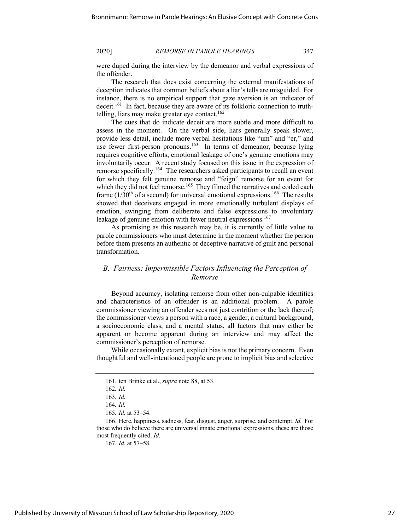were duped during the interview by the demeanor and verbal expressions of the offender.

The research that does exist concerning the external manifestations of deception indicates that common beliefs about a liar's tells are misguided. For instance, there is no empirical support that gaze aversion is an indicator of deceit.<sup>161</sup> In fact, because they are aware of its folkloric connection to truthtelling, liars may make greater eye contact.<sup>162</sup>

The cues that do indicate deceit are more subtle and more difficult to assess in the moment. On the verbal side, liars generally speak slower, provide less detail, include more verbal hesitations like "um" and "er," and use fewer first-person pronouns.<sup>163</sup> In terms of demeanor, because lying requires cognitive efforts, emotional leakage of one's genuine emotions may involuntarily occur. A recent study focused on this issue in the expression of remorse specifically.<sup>164</sup> The researchers asked participants to recall an event for which they felt genuine remorse and "feign" remorse for an event for which they did not feel remorse.<sup>165</sup> They filmed the narratives and coded each frame  $(1/30<sup>th</sup>$  of a second) for universal emotional expressions.<sup>166</sup> The results showed that deceivers engaged in more emotionally turbulent displays of emotion, swinging from deliberate and false expressions to involuntary leakage of genuine emotion with fewer neutral expressions.<sup>167</sup>

As promising as this research may be, it is currently of little value to parole commissioners who must determine in the moment whether the person before them presents an authentic or deceptive narrative of guilt and personal transformation.

# *B. Fairness: Impermissible Factors Influencing the Perception of Remorse*

Beyond accuracy, isolating remorse from other non-culpable identities and characteristics of an offender is an additional problem. A parole commissioner viewing an offender sees not just contrition or the lack thereof; the commissioner views a person with a race, a gender, a cultural background, a socioeconomic class, and a mental status, all factors that may either be apparent or become apparent during an interview and may affect the commissioner's perception of remorse.

While occasionally extant, explicit bias is not the primary concern. Even thoughtful and well-intentioned people are prone to implicit bias and selective

<sup>161.</sup> ten Brinke et al., *supra* note 88, at 53.

<sup>162</sup>*. Id.* 

<sup>163</sup>*. Id.* 

<sup>164</sup>*. Id.* 

<sup>165</sup>*. Id.* at 53–54.

<sup>166.</sup> Here, happiness, sadness, fear, disgust, anger, surprise, and contempt. *Id.* For those who do believe there are universal innate emotional expressions, these are those most frequently cited. *Id.*

<sup>167</sup>*. Id.* at 57–58.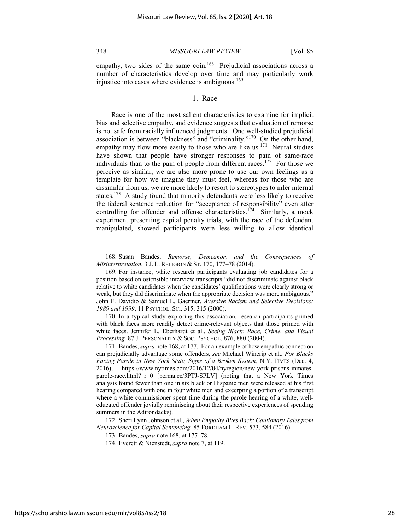empathy, two sides of the same coin.<sup>168</sup> Prejudicial associations across a number of characteristics develop over time and may particularly work injustice into cases where evidence is ambiguous.<sup>169</sup>

# 1. Race

Race is one of the most salient characteristics to examine for implicit bias and selective empathy, and evidence suggests that evaluation of remorse is not safe from racially influenced judgments. One well-studied prejudicial association is between "blackness" and "criminality."170 On the other hand, empathy may flow more easily to those who are like us.<sup>171</sup> Neural studies have shown that people have stronger responses to pain of same-race individuals than to the pain of people from different races.172 For those we perceive as similar, we are also more prone to use our own feelings as a template for how we imagine they must feel, whereas for those who are dissimilar from us, we are more likely to resort to stereotypes to infer internal states.<sup>173</sup> A study found that minority defendants were less likely to receive the federal sentence reduction for "acceptance of responsibility" even after controlling for offender and offense characteristics.<sup>174</sup> Similarly, a mock experiment presenting capital penalty trials, with the race of the defendant manipulated, showed participants were less willing to allow identical

170. In a typical study exploring this association, research participants primed with black faces more readily detect crime-relevant objects that those primed with white faces. Jennifer L. Eberhardt et al., *Seeing Black: Race, Crime, and Visual Processing,* 87 J. PERSONALITY & SOC. PSYCHOL. 876, 880 (2004).

172. Sheri Lynn Johnson et al., *When Empathy Bites Back: Cautionary Tales from Neuroscience for Capital Sentencing,* 85 FORDHAM L. REV. 573, 584 (2016).

<sup>168.</sup> Susan Bandes, *Remorse, Demeanor, and the Consequences of Misinterpretation*, 3 J. L. RELIGION & ST. 170, 177–78 (2014).

<sup>169.</sup> For instance, white research participants evaluating job candidates for a position based on ostensible interview transcripts "did not discriminate against black relative to white candidates when the candidates' qualifications were clearly strong or weak, but they did discriminate when the appropriate decision was more ambiguous." John F. Davidio & Samuel L. Gaertner, *Aversive Racism and Selective Decisions: 1989 and 1999*, 11 PSYCHOL. SCI. 315, 315 (2000).

<sup>171.</sup> Bandes, *supra* note 168, at 177. For an example of how empathic connection can prejudicially advantage some offenders, *see* Michael Winerip et al., *For Blacks Facing Parole in New York State, Signs of a Broken System,* N.Y. TIMES (Dec. 4, 2016), https://www.nytimes.com/2016/12/04/nyregion/new-york-prisons-inmatesparole-race.html?\_r=0 [perma.cc/3PTJ-SPLV] (noting that a New York Times analysis found fewer than one in six black or Hispanic men were released at his first hearing compared with one in four white men and excerpting a portion of a transcript where a white commissioner spent time during the parole hearing of a white, welleducated offender jovially reminiscing about their respective experiences of spending summers in the Adirondacks).

<sup>173.</sup> Bandes, *supra* note 168, at 177–78.

<sup>174.</sup> Everett & Nienstedt, *supra* note 7, at 119.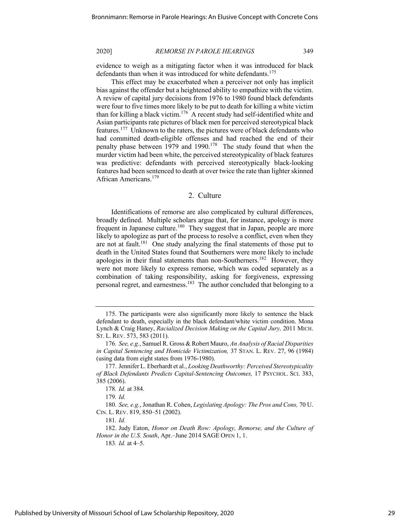evidence to weigh as a mitigating factor when it was introduced for black defendants than when it was introduced for white defendants.<sup>175</sup>

This effect may be exacerbated when a perceiver not only has implicit bias against the offender but a heightened ability to empathize with the victim. A review of capital jury decisions from 1976 to 1980 found black defendants were four to five times more likely to be put to death for killing a white victim than for killing a black victim.<sup>176</sup> A recent study had self-identified white and Asian participants rate pictures of black men for perceived stereotypical black features.177 Unknown to the raters, the pictures were of black defendants who had committed death-eligible offenses and had reached the end of their penalty phase between  $1979$  and  $1990.<sup>178</sup>$  The study found that when the murder victim had been white, the perceived stereotypicality of black features was predictive: defendants with perceived stereotypically black-looking features had been sentenced to death at over twice the rate than lighter skinned African Americans.<sup>179</sup>

### 2. Culture

Identifications of remorse are also complicated by cultural differences, broadly defined. Multiple scholars argue that, for instance, apology is more frequent in Japanese culture.<sup>180</sup> They suggest that in Japan, people are more likely to apologize as part of the process to resolve a conflict, even when they are not at fault.<sup>181</sup> One study analyzing the final statements of those put to death in the United States found that Southerners were more likely to include apologies in their final statements than non-Southerners.<sup>182</sup> However, they were not more likely to express remorse, which was coded separately as a combination of taking responsibility, asking for forgiveness, expressing personal regret, and earnestness.183 The author concluded that belonging to a

<sup>175.</sup> The participants were also significantly more likely to sentence the black defendant to death, especially in the black defendant/white victim condition. Mona Lynch & Craig Haney, *Racialized Decision Making on the Capital Jury,* 2011 MICH. ST. L. REV. 573, 583 (2011).

<sup>176</sup>*. See, e.g.*, Samuel R. Gross & Robert Mauro, *An Analysis of Racial Disparities in Capital Sentencing and Homicide Victimization,* 37 STAN. L. REV. 27, 96 (1984) (using data from eight states from 1976-1980).

<sup>177.</sup> Jennifer L. Eberhardt et al., *Looking Deathworthy: Perceived Stereotypicality of Black Defendants Predicts Capital-Sentencing Outcomes,* 17 PSYCHOL. SCI. 383, 385 (2006).

<sup>178</sup>*. Id.* at 384.

<sup>179</sup>*. Id.* 

<sup>180</sup>*. See, e.g.*, Jonathan R. Cohen, *Legislating Apology: The Pros and Cons,* 70 U. CIN. L. REV. 819, 850–51 (2002).

<sup>181</sup>*. Id.* 

<sup>182.</sup> Judy Eaton, *Honor on Death Row: Apology, Remorse, and the Culture of Honor in the U.S. South*, Apr.–June 2014 SAGE OPEN 1, 1.

<sup>183</sup>*. Id.* at 4–5.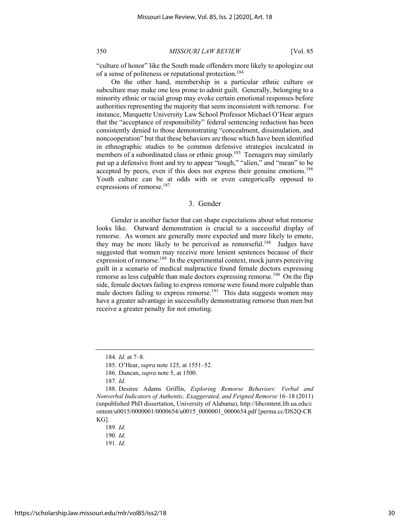"culture of honor" like the South made offenders more likely to apologize out of a sense of politeness or reputational protection.<sup>184</sup>

On the other hand, membership in a particular ethnic culture or subculture may make one less prone to admit guilt. Generally, belonging to a minority ethnic or racial group may evoke certain emotional responses before authorities representing the majority that seem inconsistent with remorse. For instance, Marquette University Law School Professor Michael O'Hear argues that the "acceptance of responsibility" federal sentencing reduction has been consistently denied to those demonstrating "concealment, dissimulation, and noncooperation" but that these behaviors are those which have been identified in ethnographic studies to be common defensive strategies inculcated in members of a subordinated class or ethnic group.<sup>185</sup> Teenagers may similarly put up a defensive front and try to appear "tough," "alien," and "mean" to be accepted by peers, even if this does not express their genuine emotions.<sup>186</sup> Youth culture can be at odds with or even categorically opposed to expressions of remorse.<sup>187</sup>

# 3. Gender

Gender is another factor that can shape expectations about what remorse looks like. Outward demonstration is crucial to a successful display of remorse. As women are generally more expected and more likely to emote, they may be more likely to be perceived as remorseful.<sup>188</sup> Judges have suggested that women may receive more lenient sentences because of their expression of remorse.<sup>189</sup> In the experimental context, mock jurors perceiving guilt in a scenario of medical malpractice found female doctors expressing remorse as less culpable than male doctors expressing remorse.<sup>190</sup> On the flip side, female doctors failing to express remorse were found more culpable than male doctors failing to express remorse.<sup>191</sup> This data suggests women may have a greater advantage in successfully demonstrating remorse than men but receive a greater penalty for not emoting.

https://scholarship.law.missouri.edu/mlr/vol85/iss2/18

<sup>184</sup>*. Id.* at 7–8.

<sup>185.</sup> O'Hear, *supra* note 125, at 1551–52.

<sup>186.</sup> Duncan, *supra* note 5, at 1500.

<sup>187</sup>*. Id.* 

<sup>188.</sup> Desiree Adams Griffin, *Exploring Remorse Behaviors: Verbal and Nonverbal Indicators of Authentic, Exaggerated, and Feigned Remorse* 16–18 (2011) (unpublished PhD dissertation, University of Alabama), http://libcontent.lib.ua.edu/c ontent/u0015/0000001/0000654/u0015\_0000001\_0000654.pdf [perma.cc/DS2Q-CR KG].

<sup>189</sup>*. Id.* 

<sup>190</sup>*. Id.* 

<sup>191</sup>*. Id.*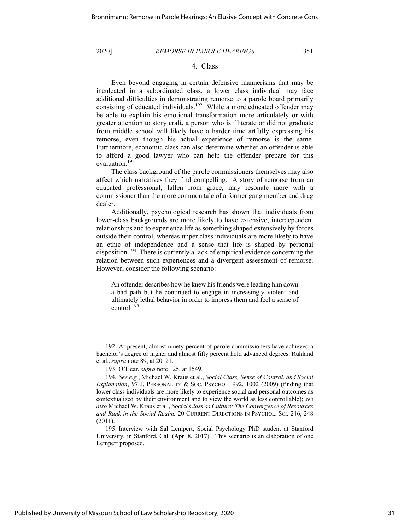# 4. Class

Even beyond engaging in certain defensive mannerisms that may be inculcated in a subordinated class, a lower class individual may face additional difficulties in demonstrating remorse to a parole board primarily consisting of educated individuals.<sup>192</sup> While a more educated offender may be able to explain his emotional transformation more articulately or with greater attention to story craft, a person who is illiterate or did not graduate from middle school will likely have a harder time artfully expressing his remorse, even though his actual experience of remorse is the same. Furthermore, economic class can also determine whether an offender is able to afford a good lawyer who can help the offender prepare for this evaluation.193

The class background of the parole commissioners themselves may also affect which narratives they find compelling. A story of remorse from an educated professional, fallen from grace, may resonate more with a commissioner than the more common tale of a former gang member and drug dealer.

Additionally, psychological research has shown that individuals from lower-class backgrounds are more likely to have extensive, interdependent relationships and to experience life as something shaped extensively by forces outside their control, whereas upper class individuals are more likely to have an ethic of independence and a sense that life is shaped by personal disposition.194 There is currently a lack of empirical evidence concerning the relation between such experiences and a divergent assessment of remorse. However, consider the following scenario:

An offender describes how he knew his friends were leading him down a bad path but he continued to engage in increasingly violent and ultimately lethal behavior in order to impress them and feel a sense of control.<sup>195</sup>

<sup>192.</sup> At present, almost ninety percent of parole commissioners have achieved a bachelor's degree or higher and almost fifty percent hold advanced degrees. Ruhland et al.,*supra* note 89, at 20–21.

<sup>193.</sup> O'Hear, *supra* note 125, at 1549.

<sup>194</sup>*. See e.g.*, Michael W. Kraus et al., *Social Class, Sense of Control, and Social Explanation*, 97 J. PERSONALITY & SOC. PSYCHOL. 992, 1002 (2009) (finding that lower class individuals are more likely to experience social and personal outcomes as contextualized by their environment and to view the world as less controllable); *see also* Michael W. Kraus et al., *Social Class as Culture: The Convergence of Resources and Rank in the Social Realm,* 20 CURRENT DIRECTIONS IN PSYCHOL. SCI. 246, 248 (2011).

<sup>195.</sup> Interview with Sal Lempert, Social Psychology PhD student at Stanford University, in Stanford, Cal. (Apr. 8, 2017). This scenario is an elaboration of one Lempert proposed.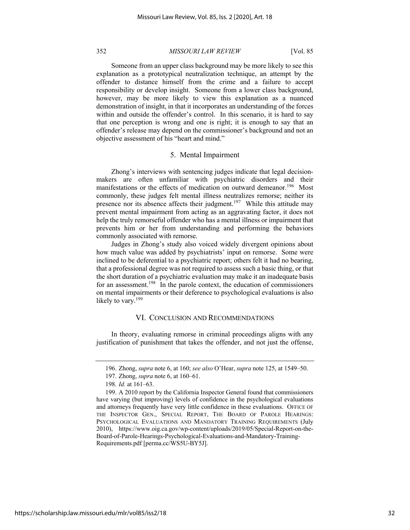Someone from an upper class background may be more likely to see this explanation as a prototypical neutralization technique, an attempt by the offender to distance himself from the crime and a failure to accept responsibility or develop insight. Someone from a lower class background, however, may be more likely to view this explanation as a nuanced demonstration of insight, in that it incorporates an understanding of the forces within and outside the offender's control. In this scenario, it is hard to say that one perception is wrong and one is right; it is enough to say that an offender's release may depend on the commissioner's background and not an objective assessment of his "heart and mind."

## 5. Mental Impairment

Zhong's interviews with sentencing judges indicate that legal decisionmakers are often unfamiliar with psychiatric disorders and their manifestations or the effects of medication on outward demeanor.<sup>196</sup> Most commonly, these judges felt mental illness neutralizes remorse; neither its presence nor its absence affects their judgment.<sup>197</sup> While this attitude may prevent mental impairment from acting as an aggravating factor, it does not help the truly remorseful offender who has a mental illness or impairment that prevents him or her from understanding and performing the behaviors commonly associated with remorse.

Judges in Zhong's study also voiced widely divergent opinions about how much value was added by psychiatrists' input on remorse. Some were inclined to be deferential to a psychiatric report; others felt it had no bearing, that a professional degree was not required to assess such a basic thing, or that the short duration of a psychiatric evaluation may make it an inadequate basis for an assessment.<sup>198</sup> In the parole context, the education of commissioners on mental impairments or their deference to psychological evaluations is also likely to vary. $199$ 

### VI. CONCLUSION AND RECOMMENDATIONS

In theory, evaluating remorse in criminal proceedings aligns with any justification of punishment that takes the offender, and not just the offense,

<sup>196.</sup> Zhong, *supra* note 6, at 160; *see also* O'Hear, *supra* note 125, at 1549–50.

<sup>197.</sup> Zhong, *supra* note 6, at 160–61.

<sup>198</sup>*. Id.* at 161–63.

<sup>199.</sup> A 2010 report by the California Inspector General found that commissioners have varying (but improving) levels of confidence in the psychological evaluations and attorneys frequently have very little confidence in these evaluations. OFFICE OF THE INSPECTOR GEN., SPECIAL REPORT, THE BOARD OF PAROLE HEARINGS: PSYCHOLOGICAL EVALUATIONS AND MANDATORY TRAINING REQUIREMENTS (July 2010), https://www.oig.ca.gov/wp-content/uploads/2019/05/Special-Report-on-the-Board-of-Parole-Hearings-Psychological-Evaluations-and-Mandatory-Training-Requirements.pdf [perma.cc/WS5U-BY5J].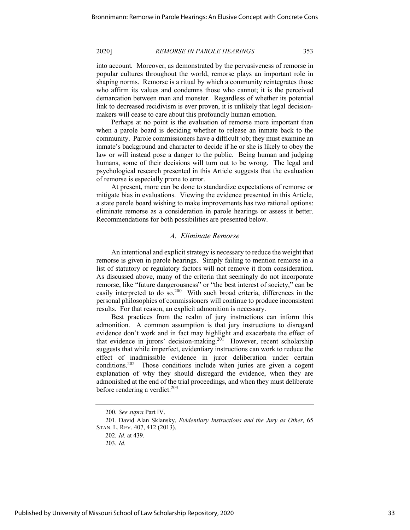into account*.* Moreover, as demonstrated by the pervasiveness of remorse in popular cultures throughout the world, remorse plays an important role in shaping norms. Remorse is a ritual by which a community reintegrates those who affirm its values and condemns those who cannot; it is the perceived demarcation between man and monster. Regardless of whether its potential link to decreased recidivism is ever proven, it is unlikely that legal decisionmakers will cease to care about this profoundly human emotion.

Perhaps at no point is the evaluation of remorse more important than when a parole board is deciding whether to release an inmate back to the community. Parole commissioners have a difficult job; they must examine an inmate's background and character to decide if he or she is likely to obey the law or will instead pose a danger to the public. Being human and judging humans, some of their decisions will turn out to be wrong. The legal and psychological research presented in this Article suggests that the evaluation of remorse is especially prone to error.

At present, more can be done to standardize expectations of remorse or mitigate bias in evaluations. Viewing the evidence presented in this Article, a state parole board wishing to make improvements has two rational options: eliminate remorse as a consideration in parole hearings or assess it better. Recommendations for both possibilities are presented below.

## *A. Eliminate Remorse*

An intentional and explicit strategy is necessary to reduce the weight that remorse is given in parole hearings. Simply failing to mention remorse in a list of statutory or regulatory factors will not remove it from consideration. As discussed above, many of the criteria that seemingly do not incorporate remorse, like "future dangerousness" or "the best interest of society," can be easily interpreted to do so.<sup>200</sup> With such broad criteria, differences in the personal philosophies of commissioners will continue to produce inconsistent results. For that reason, an explicit admonition is necessary.

Best practices from the realm of jury instructions can inform this admonition. A common assumption is that jury instructions to disregard evidence don't work and in fact may highlight and exacerbate the effect of that evidence in jurors' decision-making.<sup>201</sup> However, recent scholarship suggests that while imperfect, evidentiary instructions can work to reduce the effect of inadmissible evidence in juror deliberation under certain conditions.<sup>202</sup> Those conditions include when juries are given a cogent explanation of why they should disregard the evidence, when they are admonished at the end of the trial proceedings, and when they must deliberate before rendering a verdict.<sup>203</sup>

<sup>200</sup>*. See supra* Part IV.

<sup>201.</sup> David Alan Sklansky, *Evidentiary Instructions and the Jury as Other,* 65 STAN. L. REV. 407, 412 (2013).

<sup>202</sup>*. Id.* at 439.

<sup>203</sup>*. Id.*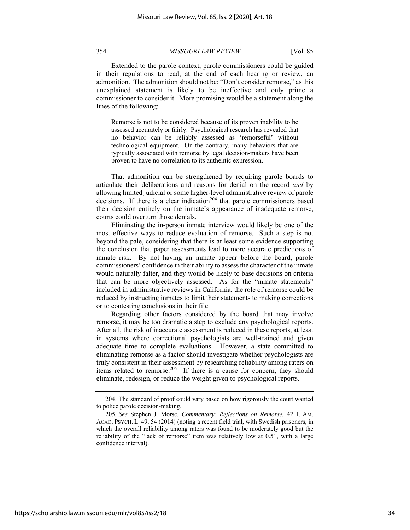Extended to the parole context, parole commissioners could be guided in their regulations to read, at the end of each hearing or review, an admonition. The admonition should not be: "Don't consider remorse," as this unexplained statement is likely to be ineffective and only prime a commissioner to consider it. More promising would be a statement along the lines of the following:

Remorse is not to be considered because of its proven inability to be assessed accurately or fairly. Psychological research has revealed that no behavior can be reliably assessed as 'remorseful' without technological equipment. On the contrary, many behaviors that are typically associated with remorse by legal decision-makers have been proven to have no correlation to its authentic expression.

That admonition can be strengthened by requiring parole boards to articulate their deliberations and reasons for denial on the record *and* by allowing limited judicial or some higher-level administrative review of parole decisions. If there is a clear indication<sup>204</sup> that parole commissioners based their decision entirely on the inmate's appearance of inadequate remorse, courts could overturn those denials.

Eliminating the in-person inmate interview would likely be one of the most effective ways to reduce evaluation of remorse. Such a step is not beyond the pale, considering that there is at least some evidence supporting the conclusion that paper assessments lead to more accurate predictions of inmate risk. By not having an inmate appear before the board, parole commissioners' confidence in their ability to assess the character of the inmate would naturally falter, and they would be likely to base decisions on criteria that can be more objectively assessed. As for the "inmate statements" included in administrative reviews in California, the role of remorse could be reduced by instructing inmates to limit their statements to making corrections or to contesting conclusions in their file.

Regarding other factors considered by the board that may involve remorse, it may be too dramatic a step to exclude any psychological reports. After all, the risk of inaccurate assessment is reduced in these reports, at least in systems where correctional psychologists are well-trained and given adequate time to complete evaluations. However, a state committed to eliminating remorse as a factor should investigate whether psychologists are truly consistent in their assessment by researching reliability among raters on items related to remorse.<sup>205</sup> If there is a cause for concern, they should eliminate, redesign, or reduce the weight given to psychological reports.

<sup>204.</sup> The standard of proof could vary based on how rigorously the court wanted to police parole decision-making.

<sup>205</sup>*. See* Stephen J. Morse, *Commentary: Reflections on Remorse,* 42 J. AM. ACAD. PSYCH. L. 49, 54 (2014) (noting a recent field trial, with Swedish prisoners, in which the overall reliability among raters was found to be moderately good but the reliability of the "lack of remorse" item was relatively low at 0.51, with a large confidence interval).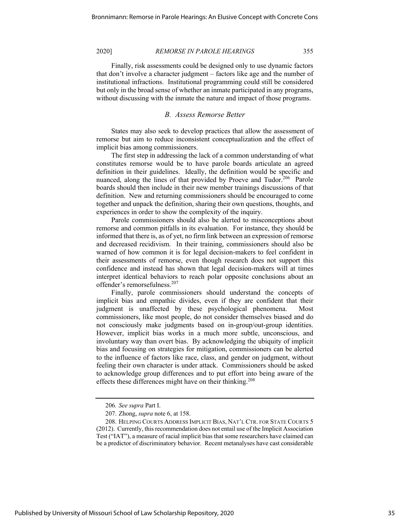Finally, risk assessments could be designed only to use dynamic factors that don't involve a character judgment – factors like age and the number of institutional infractions. Institutional programming could still be considered but only in the broad sense of whether an inmate participated in any programs, without discussing with the inmate the nature and impact of those programs.

### *B. Assess Remorse Better*

States may also seek to develop practices that allow the assessment of remorse but aim to reduce inconsistent conceptualization and the effect of implicit bias among commissioners.

The first step in addressing the lack of a common understanding of what constitutes remorse would be to have parole boards articulate an agreed definition in their guidelines. Ideally, the definition would be specific and nuanced, along the lines of that provided by Proeve and Tudor.<sup>206</sup> Parole boards should then include in their new member trainings discussions of that definition. New and returning commissioners should be encouraged to come together and unpack the definition, sharing their own questions, thoughts, and experiences in order to show the complexity of the inquiry.

Parole commissioners should also be alerted to misconceptions about remorse and common pitfalls in its evaluation. For instance, they should be informed that there is, as of yet, no firm link between an expression of remorse and decreased recidivism. In their training, commissioners should also be warned of how common it is for legal decision-makers to feel confident in their assessments of remorse, even though research does not support this confidence and instead has shown that legal decision-makers will at times interpret identical behaviors to reach polar opposite conclusions about an offender's remorsefulness.207

Finally, parole commissioners should understand the concepts of implicit bias and empathic divides, even if they are confident that their judgment is unaffected by these psychological phenomena. Most commissioners, like most people, do not consider themselves biased and do not consciously make judgments based on in-group/out-group identities. However, implicit bias works in a much more subtle, unconscious, and involuntary way than overt bias. By acknowledging the ubiquity of implicit bias and focusing on strategies for mitigation, commissioners can be alerted to the influence of factors like race, class, and gender on judgment, without feeling their own character is under attack. Commissioners should be asked to acknowledge group differences and to put effort into being aware of the effects these differences might have on their thinking.<sup>208</sup>

<sup>206</sup>*. See supra* Part I.

<sup>207.</sup> Zhong, *supra* note 6, at 158.

<sup>208.</sup> HELPING COURTS ADDRESS IMPLICIT BIAS, NAT'L CTR. FOR STATE COURTS 5 (2012). Currently, this recommendation does not entail use of the Implicit Association Test ("IAT"), a measure of racial implicit bias that some researchers have claimed can be a predictor of discriminatory behavior. Recent metanalyses have cast considerable